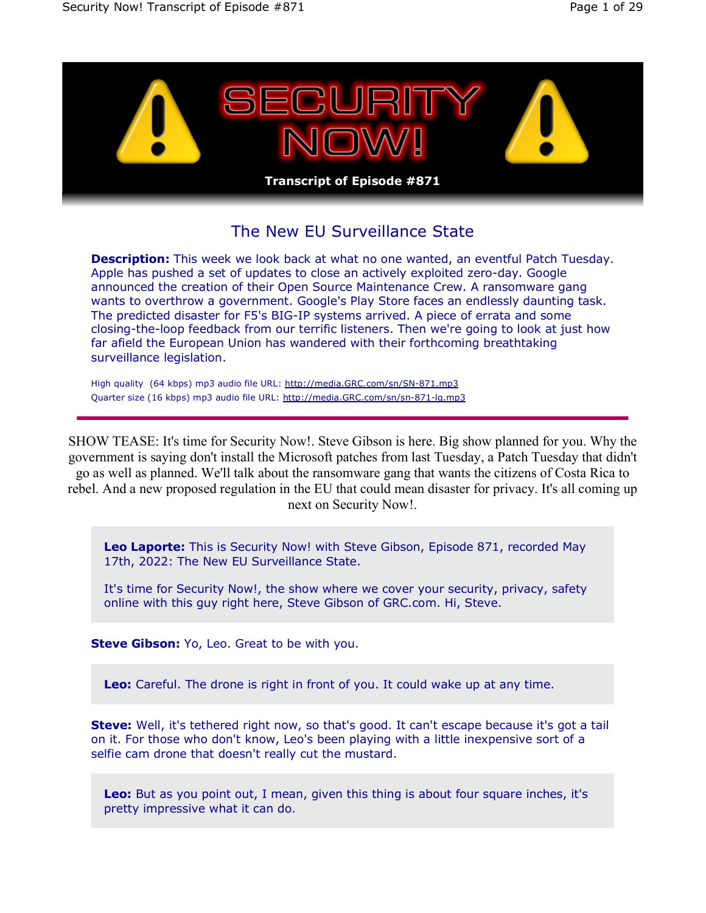

# The New EU Surveillance State

**Description:** This week we look back at what no one wanted, an eventful Patch Tuesday. Apple has pushed a set of updates to close an actively exploited zero-day. Google announced the creation of their Open Source Maintenance Crew. A ransomware gang wants to overthrow a government. Google's Play Store faces an endlessly daunting task. The predicted disaster for F5's BIG-IP systems arrived. A piece of errata and some closing-the-loop feedback from our terrific listeners. Then we're going to look at just how far afield the European Union has wandered with their forthcoming breathtaking surveillance legislation.

High quality (64 kbps) mp3 audio file URL: http://media.GRC.com/sn/SN-871.mp3 Quarter size (16 kbps) mp3 audio file URL: http://media.GRC.com/sn/sn-871-lq.mp3

SHOW TEASE: It's time for Security Now!. Steve Gibson is here. Big show planned for you. Why the government is saying don't install the Microsoft patches from last Tuesday, a Patch Tuesday that didn't go as well as planned. We'll talk about the ransomware gang that wants the citizens of Costa Rica to rebel. And a new proposed regulation in the EU that could mean disaster for privacy. It's all coming up next on Security Now!.

**Leo Laporte:** This is Security Now! with Steve Gibson, Episode 871, recorded May 17th, 2022: The New EU Surveillance State.

It's time for Security Now!, the show where we cover your security, privacy, safety online with this guy right here, Steve Gibson of GRC.com. Hi, Steve.

**Steve Gibson:** Yo, Leo. Great to be with you.

**Leo:** Careful. The drone is right in front of you. It could wake up at any time.

**Steve:** Well, it's tethered right now, so that's good. It can't escape because it's got a tail on it. For those who don't know, Leo's been playing with a little inexpensive sort of a selfie cam drone that doesn't really cut the mustard.

**Leo:** But as you point out, I mean, given this thing is about four square inches, it's pretty impressive what it can do.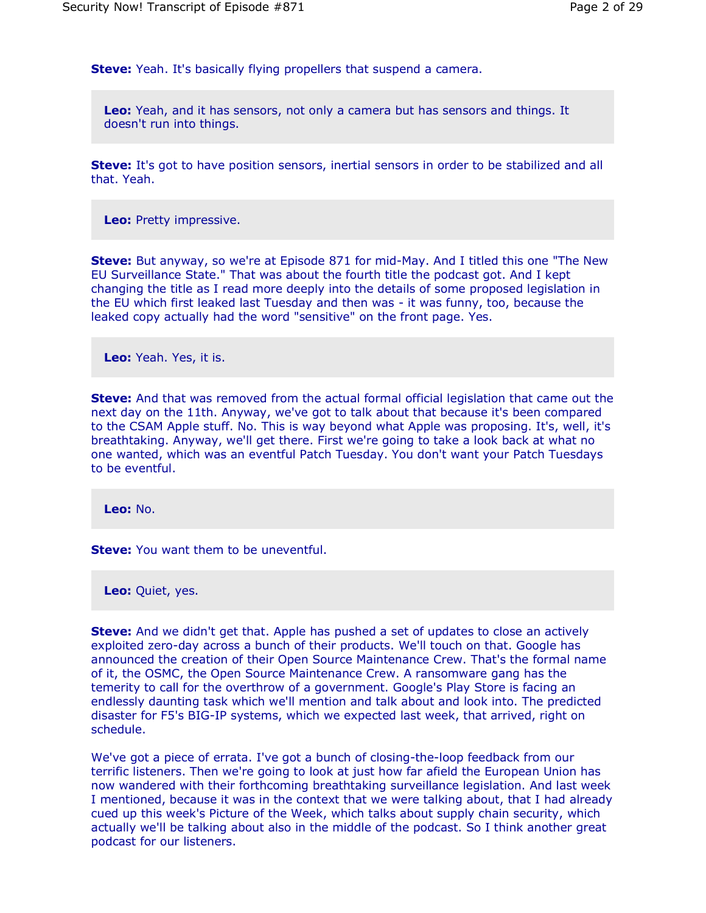**Steve:** Yeah. It's basically flying propellers that suspend a camera.

**Leo:** Yeah, and it has sensors, not only a camera but has sensors and things. It doesn't run into things.

**Steve:** It's got to have position sensors, inertial sensors in order to be stabilized and all that. Yeah.

**Leo:** Pretty impressive.

**Steve:** But anyway, so we're at Episode 871 for mid-May. And I titled this one "The New EU Surveillance State." That was about the fourth title the podcast got. And I kept changing the title as I read more deeply into the details of some proposed legislation in the EU which first leaked last Tuesday and then was - it was funny, too, because the leaked copy actually had the word "sensitive" on the front page. Yes.

**Leo:** Yeah. Yes, it is.

**Steve:** And that was removed from the actual formal official legislation that came out the next day on the 11th. Anyway, we've got to talk about that because it's been compared to the CSAM Apple stuff. No. This is way beyond what Apple was proposing. It's, well, it's breathtaking. Anyway, we'll get there. First we're going to take a look back at what no one wanted, which was an eventful Patch Tuesday. You don't want your Patch Tuesdays to be eventful.

**Leo:** No.

**Steve:** You want them to be uneventful.

**Leo:** Quiet, yes.

**Steve:** And we didn't get that. Apple has pushed a set of updates to close an actively exploited zero-day across a bunch of their products. We'll touch on that. Google has announced the creation of their Open Source Maintenance Crew. That's the formal name of it, the OSMC, the Open Source Maintenance Crew. A ransomware gang has the temerity to call for the overthrow of a government. Google's Play Store is facing an endlessly daunting task which we'll mention and talk about and look into. The predicted disaster for F5's BIG-IP systems, which we expected last week, that arrived, right on schedule.

We've got a piece of errata. I've got a bunch of closing-the-loop feedback from our terrific listeners. Then we're going to look at just how far afield the European Union has now wandered with their forthcoming breathtaking surveillance legislation. And last week I mentioned, because it was in the context that we were talking about, that I had already cued up this week's Picture of the Week, which talks about supply chain security, which actually we'll be talking about also in the middle of the podcast. So I think another great podcast for our listeners.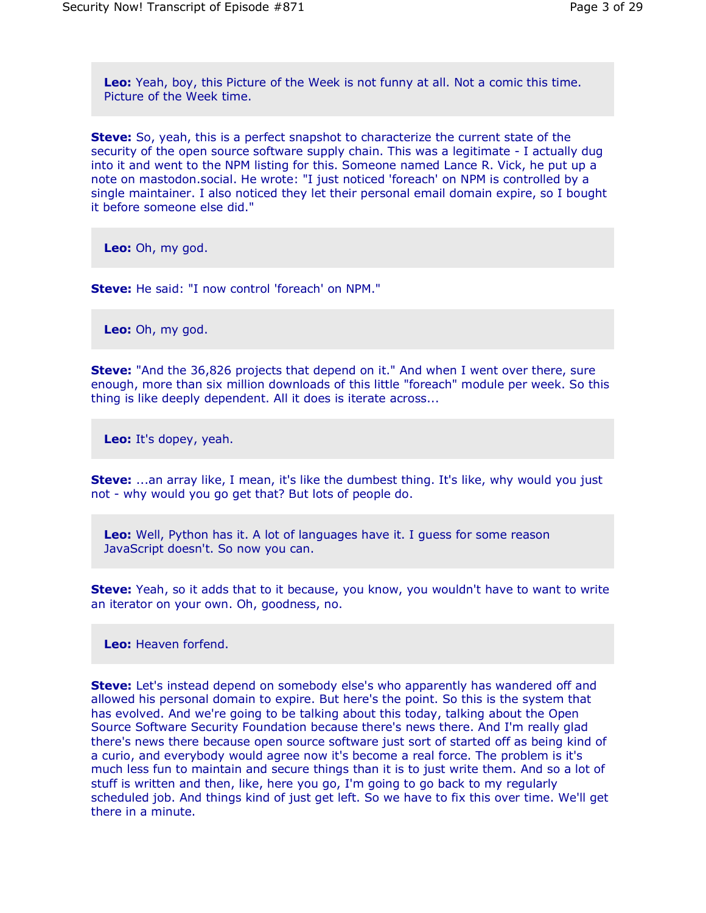**Leo:** Yeah, boy, this Picture of the Week is not funny at all. Not a comic this time. Picture of the Week time.

**Steve:** So, yeah, this is a perfect snapshot to characterize the current state of the security of the open source software supply chain. This was a legitimate - I actually dug into it and went to the NPM listing for this. Someone named Lance R. Vick, he put up a note on mastodon.social. He wrote: "I just noticed 'foreach' on NPM is controlled by a single maintainer. I also noticed they let their personal email domain expire, so I bought it before someone else did."

**Leo:** Oh, my god.

**Steve:** He said: "I now control 'foreach' on NPM."

**Leo:** Oh, my god.

**Steve:** "And the 36,826 projects that depend on it." And when I went over there, sure enough, more than six million downloads of this little "foreach" module per week. So this thing is like deeply dependent. All it does is iterate across...

**Leo:** It's dopey, yeah.

**Steve:** ...an array like, I mean, it's like the dumbest thing. It's like, why would you just not - why would you go get that? But lots of people do.

**Leo:** Well, Python has it. A lot of languages have it. I guess for some reason JavaScript doesn't. So now you can.

**Steve:** Yeah, so it adds that to it because, you know, you wouldn't have to want to write an iterator on your own. Oh, goodness, no.

**Leo:** Heaven forfend.

**Steve:** Let's instead depend on somebody else's who apparently has wandered off and allowed his personal domain to expire. But here's the point. So this is the system that has evolved. And we're going to be talking about this today, talking about the Open Source Software Security Foundation because there's news there. And I'm really glad there's news there because open source software just sort of started off as being kind of a curio, and everybody would agree now it's become a real force. The problem is it's much less fun to maintain and secure things than it is to just write them. And so a lot of stuff is written and then, like, here you go, I'm going to go back to my regularly scheduled job. And things kind of just get left. So we have to fix this over time. We'll get there in a minute.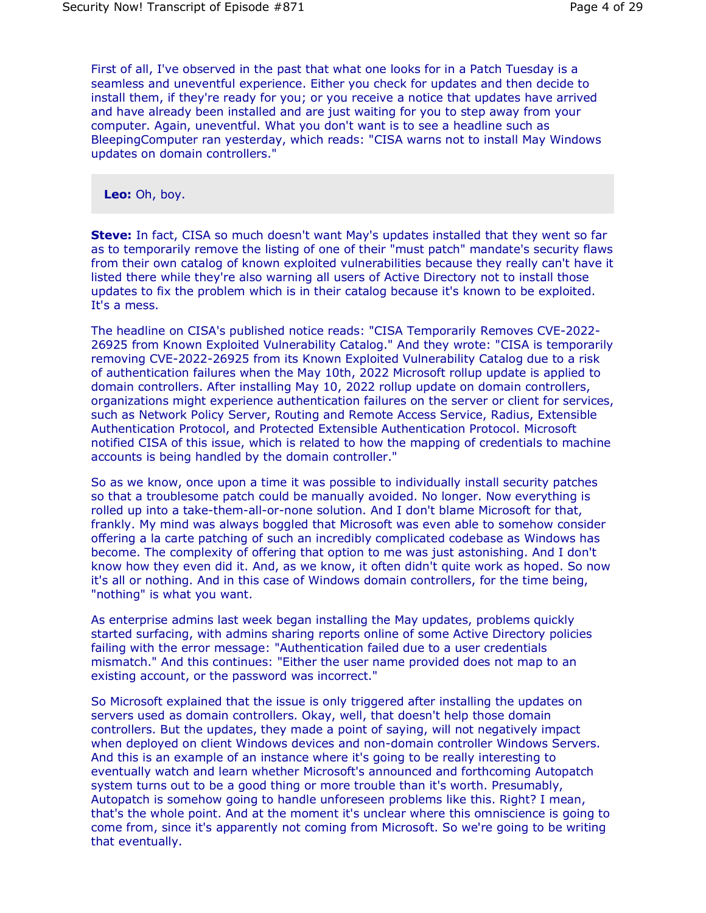First of all, I've observed in the past that what one looks for in a Patch Tuesday is a seamless and uneventful experience. Either you check for updates and then decide to install them, if they're ready for you; or you receive a notice that updates have arrived and have already been installed and are just waiting for you to step away from your computer. Again, uneventful. What you don't want is to see a headline such as BleepingComputer ran yesterday, which reads: "CISA warns not to install May Windows updates on domain controllers."

**Leo:** Oh, boy.

**Steve:** In fact, CISA so much doesn't want May's updates installed that they went so far as to temporarily remove the listing of one of their "must patch" mandate's security flaws from their own catalog of known exploited vulnerabilities because they really can't have it listed there while they're also warning all users of Active Directory not to install those updates to fix the problem which is in their catalog because it's known to be exploited. It's a mess.

The headline on CISA's published notice reads: "CISA Temporarily Removes CVE-2022- 26925 from Known Exploited Vulnerability Catalog." And they wrote: "CISA is temporarily removing CVE-2022-26925 from its Known Exploited Vulnerability Catalog due to a risk of authentication failures when the May 10th, 2022 Microsoft rollup update is applied to domain controllers. After installing May 10, 2022 rollup update on domain controllers, organizations might experience authentication failures on the server or client for services, such as Network Policy Server, Routing and Remote Access Service, Radius, Extensible Authentication Protocol, and Protected Extensible Authentication Protocol. Microsoft notified CISA of this issue, which is related to how the mapping of credentials to machine accounts is being handled by the domain controller."

So as we know, once upon a time it was possible to individually install security patches so that a troublesome patch could be manually avoided. No longer. Now everything is rolled up into a take-them-all-or-none solution. And I don't blame Microsoft for that, frankly. My mind was always boggled that Microsoft was even able to somehow consider offering a la carte patching of such an incredibly complicated codebase as Windows has become. The complexity of offering that option to me was just astonishing. And I don't know how they even did it. And, as we know, it often didn't quite work as hoped. So now it's all or nothing. And in this case of Windows domain controllers, for the time being, "nothing" is what you want.

As enterprise admins last week began installing the May updates, problems quickly started surfacing, with admins sharing reports online of some Active Directory policies failing with the error message: "Authentication failed due to a user credentials mismatch." And this continues: "Either the user name provided does not map to an existing account, or the password was incorrect."

So Microsoft explained that the issue is only triggered after installing the updates on servers used as domain controllers. Okay, well, that doesn't help those domain controllers. But the updates, they made a point of saying, will not negatively impact when deployed on client Windows devices and non-domain controller Windows Servers. And this is an example of an instance where it's going to be really interesting to eventually watch and learn whether Microsoft's announced and forthcoming Autopatch system turns out to be a good thing or more trouble than it's worth. Presumably, Autopatch is somehow going to handle unforeseen problems like this. Right? I mean, that's the whole point. And at the moment it's unclear where this omniscience is going to come from, since it's apparently not coming from Microsoft. So we're going to be writing that eventually.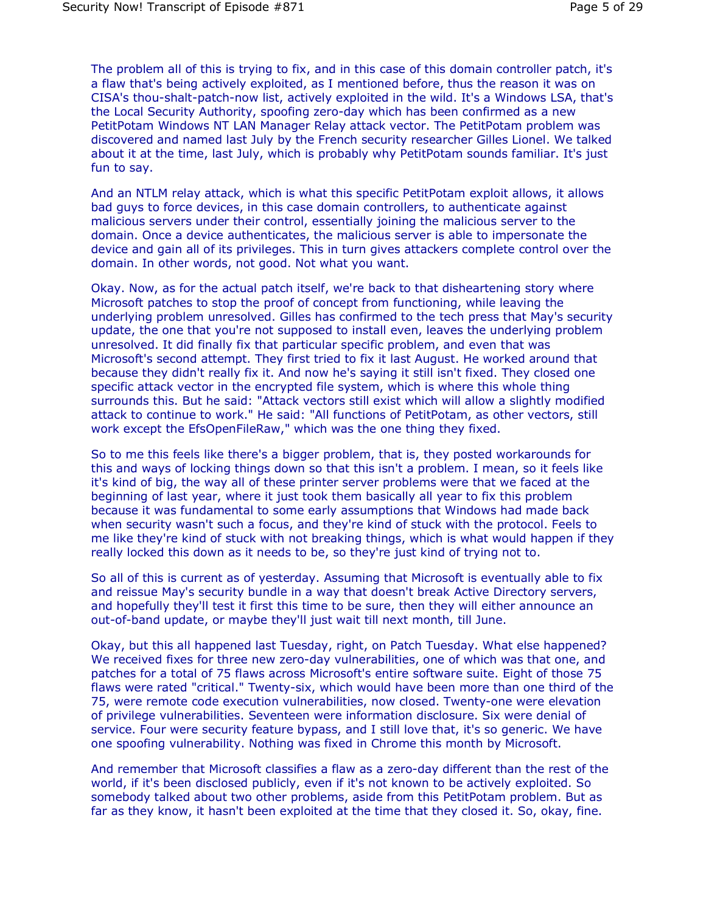The problem all of this is trying to fix, and in this case of this domain controller patch, it's a flaw that's being actively exploited, as I mentioned before, thus the reason it was on CISA's thou-shalt-patch-now list, actively exploited in the wild. It's a Windows LSA, that's the Local Security Authority, spoofing zero-day which has been confirmed as a new PetitPotam Windows NT LAN Manager Relay attack vector. The PetitPotam problem was discovered and named last July by the French security researcher Gilles Lionel. We talked about it at the time, last July, which is probably why PetitPotam sounds familiar. It's just fun to say.

And an NTLM relay attack, which is what this specific PetitPotam exploit allows, it allows bad guys to force devices, in this case domain controllers, to authenticate against malicious servers under their control, essentially joining the malicious server to the domain. Once a device authenticates, the malicious server is able to impersonate the device and gain all of its privileges. This in turn gives attackers complete control over the domain. In other words, not good. Not what you want.

Okay. Now, as for the actual patch itself, we're back to that disheartening story where Microsoft patches to stop the proof of concept from functioning, while leaving the underlying problem unresolved. Gilles has confirmed to the tech press that May's security update, the one that you're not supposed to install even, leaves the underlying problem unresolved. It did finally fix that particular specific problem, and even that was Microsoft's second attempt. They first tried to fix it last August. He worked around that because they didn't really fix it. And now he's saying it still isn't fixed. They closed one specific attack vector in the encrypted file system, which is where this whole thing surrounds this. But he said: "Attack vectors still exist which will allow a slightly modified attack to continue to work." He said: "All functions of PetitPotam, as other vectors, still work except the EfsOpenFileRaw," which was the one thing they fixed.

So to me this feels like there's a bigger problem, that is, they posted workarounds for this and ways of locking things down so that this isn't a problem. I mean, so it feels like it's kind of big, the way all of these printer server problems were that we faced at the beginning of last year, where it just took them basically all year to fix this problem because it was fundamental to some early assumptions that Windows had made back when security wasn't such a focus, and they're kind of stuck with the protocol. Feels to me like they're kind of stuck with not breaking things, which is what would happen if they really locked this down as it needs to be, so they're just kind of trying not to.

So all of this is current as of yesterday. Assuming that Microsoft is eventually able to fix and reissue May's security bundle in a way that doesn't break Active Directory servers, and hopefully they'll test it first this time to be sure, then they will either announce an out-of-band update, or maybe they'll just wait till next month, till June.

Okay, but this all happened last Tuesday, right, on Patch Tuesday. What else happened? We received fixes for three new zero-day vulnerabilities, one of which was that one, and patches for a total of 75 flaws across Microsoft's entire software suite. Eight of those 75 flaws were rated "critical." Twenty-six, which would have been more than one third of the 75, were remote code execution vulnerabilities, now closed. Twenty-one were elevation of privilege vulnerabilities. Seventeen were information disclosure. Six were denial of service. Four were security feature bypass, and I still love that, it's so generic. We have one spoofing vulnerability. Nothing was fixed in Chrome this month by Microsoft.

And remember that Microsoft classifies a flaw as a zero-day different than the rest of the world, if it's been disclosed publicly, even if it's not known to be actively exploited. So somebody talked about two other problems, aside from this PetitPotam problem. But as far as they know, it hasn't been exploited at the time that they closed it. So, okay, fine.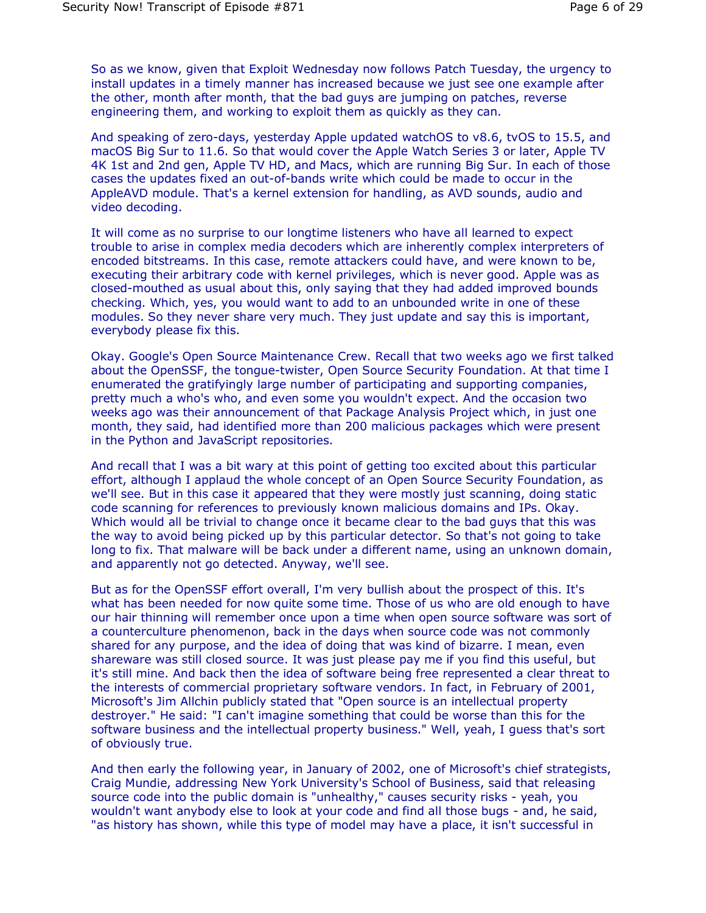So as we know, given that Exploit Wednesday now follows Patch Tuesday, the urgency to install updates in a timely manner has increased because we just see one example after the other, month after month, that the bad guys are jumping on patches, reverse engineering them, and working to exploit them as quickly as they can.

And speaking of zero-days, yesterday Apple updated watchOS to v8.6, tvOS to 15.5, and macOS Big Sur to 11.6. So that would cover the Apple Watch Series 3 or later, Apple TV 4K 1st and 2nd gen, Apple TV HD, and Macs, which are running Big Sur. In each of those cases the updates fixed an out-of-bands write which could be made to occur in the AppleAVD module. That's a kernel extension for handling, as AVD sounds, audio and video decoding.

It will come as no surprise to our longtime listeners who have all learned to expect trouble to arise in complex media decoders which are inherently complex interpreters of encoded bitstreams. In this case, remote attackers could have, and were known to be, executing their arbitrary code with kernel privileges, which is never good. Apple was as closed-mouthed as usual about this, only saying that they had added improved bounds checking. Which, yes, you would want to add to an unbounded write in one of these modules. So they never share very much. They just update and say this is important, everybody please fix this.

Okay. Google's Open Source Maintenance Crew. Recall that two weeks ago we first talked about the OpenSSF, the tongue-twister, Open Source Security Foundation. At that time I enumerated the gratifyingly large number of participating and supporting companies, pretty much a who's who, and even some you wouldn't expect. And the occasion two weeks ago was their announcement of that Package Analysis Project which, in just one month, they said, had identified more than 200 malicious packages which were present in the Python and JavaScript repositories.

And recall that I was a bit wary at this point of getting too excited about this particular effort, although I applaud the whole concept of an Open Source Security Foundation, as we'll see. But in this case it appeared that they were mostly just scanning, doing static code scanning for references to previously known malicious domains and IPs. Okay. Which would all be trivial to change once it became clear to the bad guys that this was the way to avoid being picked up by this particular detector. So that's not going to take long to fix. That malware will be back under a different name, using an unknown domain, and apparently not go detected. Anyway, we'll see.

But as for the OpenSSF effort overall, I'm very bullish about the prospect of this. It's what has been needed for now quite some time. Those of us who are old enough to have our hair thinning will remember once upon a time when open source software was sort of a counterculture phenomenon, back in the days when source code was not commonly shared for any purpose, and the idea of doing that was kind of bizarre. I mean, even shareware was still closed source. It was just please pay me if you find this useful, but it's still mine. And back then the idea of software being free represented a clear threat to the interests of commercial proprietary software vendors. In fact, in February of 2001, Microsoft's Jim Allchin publicly stated that "Open source is an intellectual property destroyer." He said: "I can't imagine something that could be worse than this for the software business and the intellectual property business." Well, yeah, I guess that's sort of obviously true.

And then early the following year, in January of 2002, one of Microsoft's chief strategists, Craig Mundie, addressing New York University's School of Business, said that releasing source code into the public domain is "unhealthy," causes security risks - yeah, you wouldn't want anybody else to look at your code and find all those bugs - and, he said, "as history has shown, while this type of model may have a place, it isn't successful in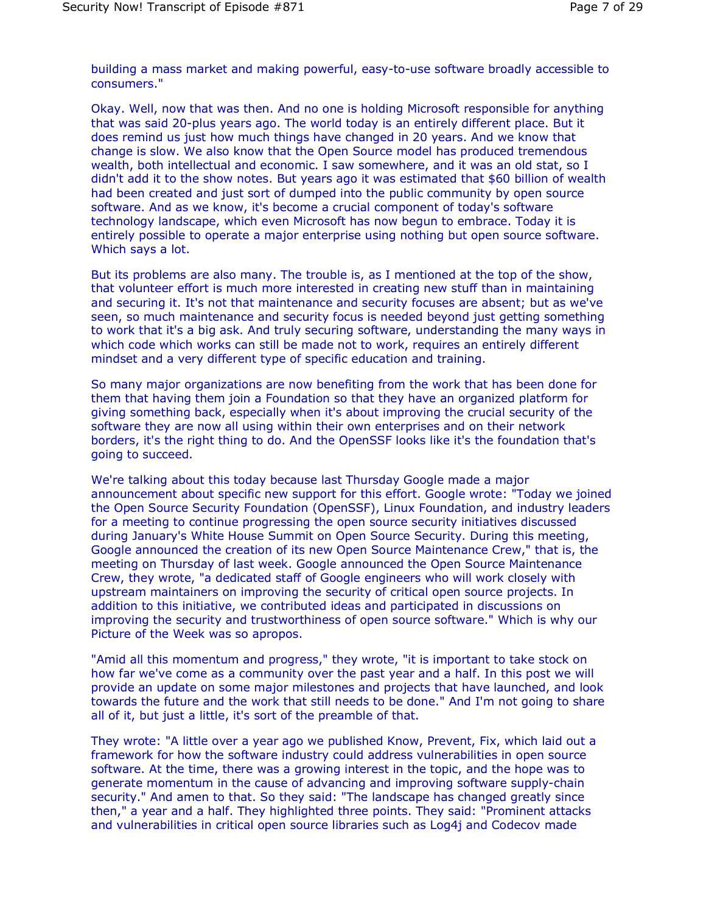building a mass market and making powerful, easy-to-use software broadly accessible to consumers."

Okay. Well, now that was then. And no one is holding Microsoft responsible for anything that was said 20-plus years ago. The world today is an entirely different place. But it does remind us just how much things have changed in 20 years. And we know that change is slow. We also know that the Open Source model has produced tremendous wealth, both intellectual and economic. I saw somewhere, and it was an old stat, so I didn't add it to the show notes. But years ago it was estimated that \$60 billion of wealth had been created and just sort of dumped into the public community by open source software. And as we know, it's become a crucial component of today's software technology landscape, which even Microsoft has now begun to embrace. Today it is entirely possible to operate a major enterprise using nothing but open source software. Which says a lot.

But its problems are also many. The trouble is, as I mentioned at the top of the show, that volunteer effort is much more interested in creating new stuff than in maintaining and securing it. It's not that maintenance and security focuses are absent; but as we've seen, so much maintenance and security focus is needed beyond just getting something to work that it's a big ask. And truly securing software, understanding the many ways in which code which works can still be made not to work, requires an entirely different mindset and a very different type of specific education and training.

So many major organizations are now benefiting from the work that has been done for them that having them join a Foundation so that they have an organized platform for giving something back, especially when it's about improving the crucial security of the software they are now all using within their own enterprises and on their network borders, it's the right thing to do. And the OpenSSF looks like it's the foundation that's going to succeed.

We're talking about this today because last Thursday Google made a major announcement about specific new support for this effort. Google wrote: "Today we joined the Open Source Security Foundation (OpenSSF), Linux Foundation, and industry leaders for a meeting to continue progressing the open source security initiatives discussed during January's White House Summit on Open Source Security. During this meeting, Google announced the creation of its new Open Source Maintenance Crew," that is, the meeting on Thursday of last week. Google announced the Open Source Maintenance Crew, they wrote, "a dedicated staff of Google engineers who will work closely with upstream maintainers on improving the security of critical open source projects. In addition to this initiative, we contributed ideas and participated in discussions on improving the security and trustworthiness of open source software." Which is why our Picture of the Week was so apropos.

"Amid all this momentum and progress," they wrote, "it is important to take stock on how far we've come as a community over the past year and a half. In this post we will provide an update on some major milestones and projects that have launched, and look towards the future and the work that still needs to be done." And I'm not going to share all of it, but just a little, it's sort of the preamble of that.

They wrote: "A little over a year ago we published Know, Prevent, Fix, which laid out a framework for how the software industry could address vulnerabilities in open source software. At the time, there was a growing interest in the topic, and the hope was to generate momentum in the cause of advancing and improving software supply-chain security." And amen to that. So they said: "The landscape has changed greatly since then," a year and a half. They highlighted three points. They said: "Prominent attacks and vulnerabilities in critical open source libraries such as Log4j and Codecov made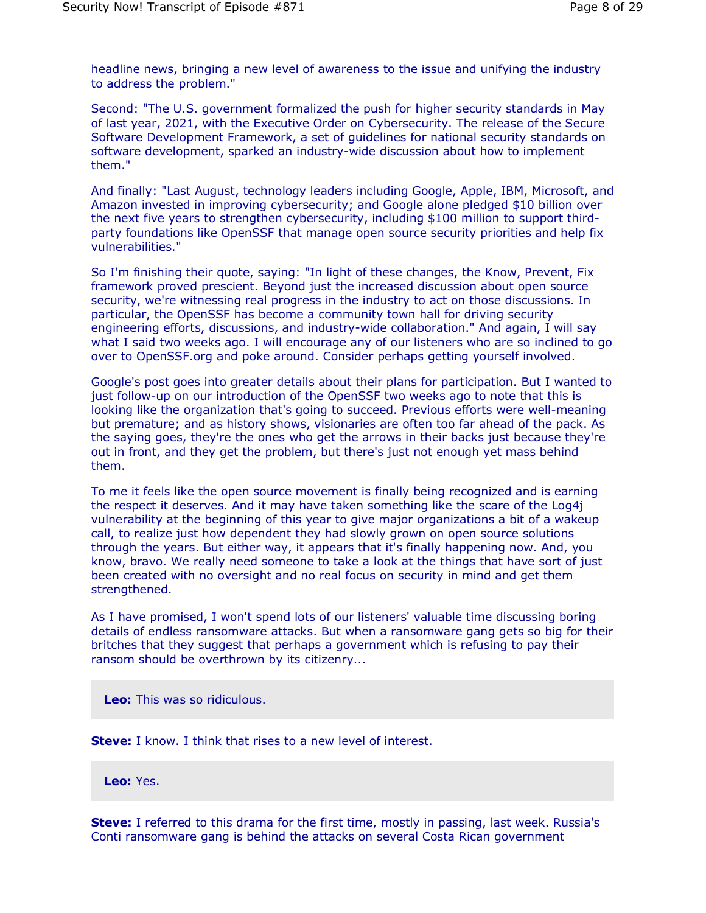headline news, bringing a new level of awareness to the issue and unifying the industry to address the problem."

Second: "The U.S. government formalized the push for higher security standards in May of last year, 2021, with the Executive Order on Cybersecurity. The release of the Secure Software Development Framework, a set of guidelines for national security standards on software development, sparked an industry-wide discussion about how to implement them."

And finally: "Last August, technology leaders including Google, Apple, IBM, Microsoft, and Amazon invested in improving cybersecurity; and Google alone pledged \$10 billion over the next five years to strengthen cybersecurity, including \$100 million to support thirdparty foundations like OpenSSF that manage open source security priorities and help fix vulnerabilities."

So I'm finishing their quote, saying: "In light of these changes, the Know, Prevent, Fix framework proved prescient. Beyond just the increased discussion about open source security, we're witnessing real progress in the industry to act on those discussions. In particular, the OpenSSF has become a community town hall for driving security engineering efforts, discussions, and industry-wide collaboration." And again, I will say what I said two weeks ago. I will encourage any of our listeners who are so inclined to go over to OpenSSF.org and poke around. Consider perhaps getting yourself involved.

Google's post goes into greater details about their plans for participation. But I wanted to just follow-up on our introduction of the OpenSSF two weeks ago to note that this is looking like the organization that's going to succeed. Previous efforts were well-meaning but premature; and as history shows, visionaries are often too far ahead of the pack. As the saying goes, they're the ones who get the arrows in their backs just because they're out in front, and they get the problem, but there's just not enough yet mass behind them.

To me it feels like the open source movement is finally being recognized and is earning the respect it deserves. And it may have taken something like the scare of the Log4j vulnerability at the beginning of this year to give major organizations a bit of a wakeup call, to realize just how dependent they had slowly grown on open source solutions through the years. But either way, it appears that it's finally happening now. And, you know, bravo. We really need someone to take a look at the things that have sort of just been created with no oversight and no real focus on security in mind and get them strengthened.

As I have promised, I won't spend lots of our listeners' valuable time discussing boring details of endless ransomware attacks. But when a ransomware gang gets so big for their britches that they suggest that perhaps a government which is refusing to pay their ransom should be overthrown by its citizenry...

**Leo:** This was so ridiculous.

**Steve:** I know. I think that rises to a new level of interest.

**Leo:** Yes.

**Steve:** I referred to this drama for the first time, mostly in passing, last week. Russia's Conti ransomware gang is behind the attacks on several Costa Rican government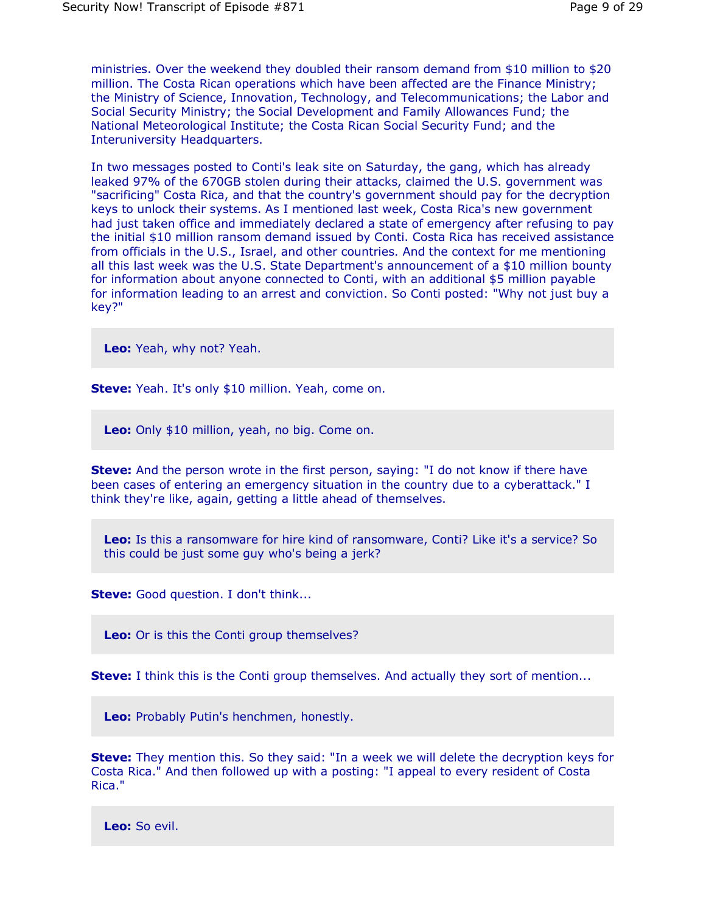ministries. Over the weekend they doubled their ransom demand from \$10 million to \$20 million. The Costa Rican operations which have been affected are the Finance Ministry; the Ministry of Science, Innovation, Technology, and Telecommunications; the Labor and Social Security Ministry; the Social Development and Family Allowances Fund; the National Meteorological Institute; the Costa Rican Social Security Fund; and the Interuniversity Headquarters.

In two messages posted to Conti's leak site on Saturday, the gang, which has already leaked 97% of the 670GB stolen during their attacks, claimed the U.S. government was "sacrificing" Costa Rica, and that the country's government should pay for the decryption keys to unlock their systems. As I mentioned last week, Costa Rica's new government had just taken office and immediately declared a state of emergency after refusing to pay the initial \$10 million ransom demand issued by Conti. Costa Rica has received assistance from officials in the U.S., Israel, and other countries. And the context for me mentioning all this last week was the U.S. State Department's announcement of a \$10 million bounty for information about anyone connected to Conti, with an additional \$5 million payable for information leading to an arrest and conviction. So Conti posted: "Why not just buy a key?"

**Leo:** Yeah, why not? Yeah.

**Steve:** Yeah. It's only \$10 million. Yeah, come on.

**Leo:** Only \$10 million, yeah, no big. Come on.

**Steve:** And the person wrote in the first person, saying: "I do not know if there have been cases of entering an emergency situation in the country due to a cyberattack." I think they're like, again, getting a little ahead of themselves.

**Leo:** Is this a ransomware for hire kind of ransomware, Conti? Like it's a service? So this could be just some guy who's being a jerk?

**Steve:** Good question. I don't think...

**Leo:** Or is this the Conti group themselves?

**Steve:** I think this is the Conti group themselves. And actually they sort of mention...

**Leo:** Probably Putin's henchmen, honestly.

**Steve:** They mention this. So they said: "In a week we will delete the decryption keys for Costa Rica." And then followed up with a posting: "I appeal to every resident of Costa Rica."

**Leo:** So evil.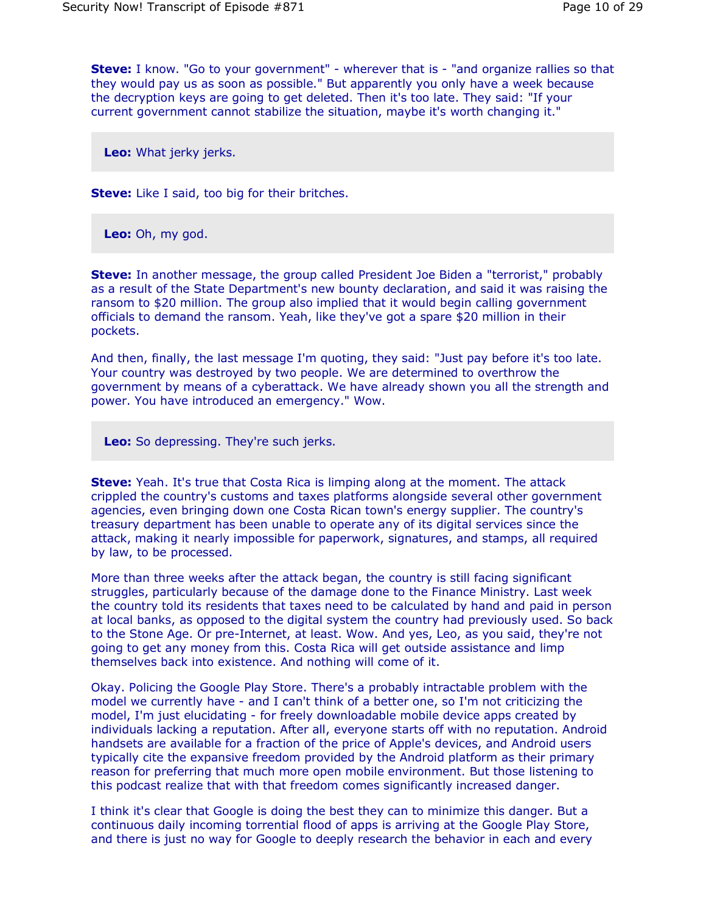**Steve:** I know. "Go to your government" - wherever that is - "and organize rallies so that they would pay us as soon as possible." But apparently you only have a week because the decryption keys are going to get deleted. Then it's too late. They said: "If your current government cannot stabilize the situation, maybe it's worth changing it."

**Leo:** What jerky jerks.

**Steve:** Like I said, too big for their britches.

**Leo:** Oh, my god.

**Steve:** In another message, the group called President Joe Biden a "terrorist," probably as a result of the State Department's new bounty declaration, and said it was raising the ransom to \$20 million. The group also implied that it would begin calling government officials to demand the ransom. Yeah, like they've got a spare \$20 million in their pockets.

And then, finally, the last message I'm quoting, they said: "Just pay before it's too late. Your country was destroyed by two people. We are determined to overthrow the government by means of a cyberattack. We have already shown you all the strength and power. You have introduced an emergency." Wow.

**Leo:** So depressing. They're such jerks.

**Steve:** Yeah. It's true that Costa Rica is limping along at the moment. The attack crippled the country's customs and taxes platforms alongside several other government agencies, even bringing down one Costa Rican town's energy supplier. The country's treasury department has been unable to operate any of its digital services since the attack, making it nearly impossible for paperwork, signatures, and stamps, all required by law, to be processed.

More than three weeks after the attack began, the country is still facing significant struggles, particularly because of the damage done to the Finance Ministry. Last week the country told its residents that taxes need to be calculated by hand and paid in person at local banks, as opposed to the digital system the country had previously used. So back to the Stone Age. Or pre-Internet, at least. Wow. And yes, Leo, as you said, they're not going to get any money from this. Costa Rica will get outside assistance and limp themselves back into existence. And nothing will come of it.

Okay. Policing the Google Play Store. There's a probably intractable problem with the model we currently have - and I can't think of a better one, so I'm not criticizing the model, I'm just elucidating - for freely downloadable mobile device apps created by individuals lacking a reputation. After all, everyone starts off with no reputation. Android handsets are available for a fraction of the price of Apple's devices, and Android users typically cite the expansive freedom provided by the Android platform as their primary reason for preferring that much more open mobile environment. But those listening to this podcast realize that with that freedom comes significantly increased danger.

I think it's clear that Google is doing the best they can to minimize this danger. But a continuous daily incoming torrential flood of apps is arriving at the Google Play Store, and there is just no way for Google to deeply research the behavior in each and every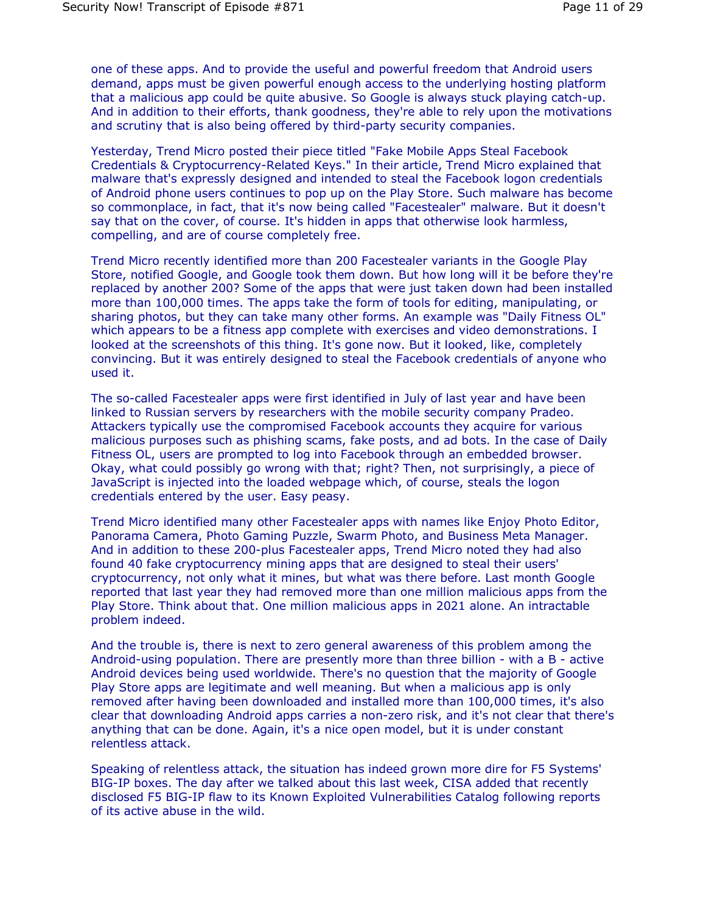one of these apps. And to provide the useful and powerful freedom that Android users demand, apps must be given powerful enough access to the underlying hosting platform that a malicious app could be quite abusive. So Google is always stuck playing catch-up. And in addition to their efforts, thank goodness, they're able to rely upon the motivations and scrutiny that is also being offered by third-party security companies.

Yesterday, Trend Micro posted their piece titled "Fake Mobile Apps Steal Facebook Credentials & Cryptocurrency-Related Keys." In their article, Trend Micro explained that malware that's expressly designed and intended to steal the Facebook logon credentials of Android phone users continues to pop up on the Play Store. Such malware has become so commonplace, in fact, that it's now being called "Facestealer" malware. But it doesn't say that on the cover, of course. It's hidden in apps that otherwise look harmless, compelling, and are of course completely free.

Trend Micro recently identified more than 200 Facestealer variants in the Google Play Store, notified Google, and Google took them down. But how long will it be before they're replaced by another 200? Some of the apps that were just taken down had been installed more than 100,000 times. The apps take the form of tools for editing, manipulating, or sharing photos, but they can take many other forms. An example was "Daily Fitness OL" which appears to be a fitness app complete with exercises and video demonstrations. I looked at the screenshots of this thing. It's gone now. But it looked, like, completely convincing. But it was entirely designed to steal the Facebook credentials of anyone who used it.

The so-called Facestealer apps were first identified in July of last year and have been linked to Russian servers by researchers with the mobile security company Pradeo. Attackers typically use the compromised Facebook accounts they acquire for various malicious purposes such as phishing scams, fake posts, and ad bots. In the case of Daily Fitness OL, users are prompted to log into Facebook through an embedded browser. Okay, what could possibly go wrong with that; right? Then, not surprisingly, a piece of JavaScript is injected into the loaded webpage which, of course, steals the logon credentials entered by the user. Easy peasy.

Trend Micro identified many other Facestealer apps with names like Enjoy Photo Editor, Panorama Camera, Photo Gaming Puzzle, Swarm Photo, and Business Meta Manager. And in addition to these 200-plus Facestealer apps, Trend Micro noted they had also found 40 fake cryptocurrency mining apps that are designed to steal their users' cryptocurrency, not only what it mines, but what was there before. Last month Google reported that last year they had removed more than one million malicious apps from the Play Store. Think about that. One million malicious apps in 2021 alone. An intractable problem indeed.

And the trouble is, there is next to zero general awareness of this problem among the Android-using population. There are presently more than three billion - with a B - active Android devices being used worldwide. There's no question that the majority of Google Play Store apps are legitimate and well meaning. But when a malicious app is only removed after having been downloaded and installed more than 100,000 times, it's also clear that downloading Android apps carries a non-zero risk, and it's not clear that there's anything that can be done. Again, it's a nice open model, but it is under constant relentless attack.

Speaking of relentless attack, the situation has indeed grown more dire for F5 Systems' BIG-IP boxes. The day after we talked about this last week, CISA added that recently disclosed F5 BIG-IP flaw to its Known Exploited Vulnerabilities Catalog following reports of its active abuse in the wild.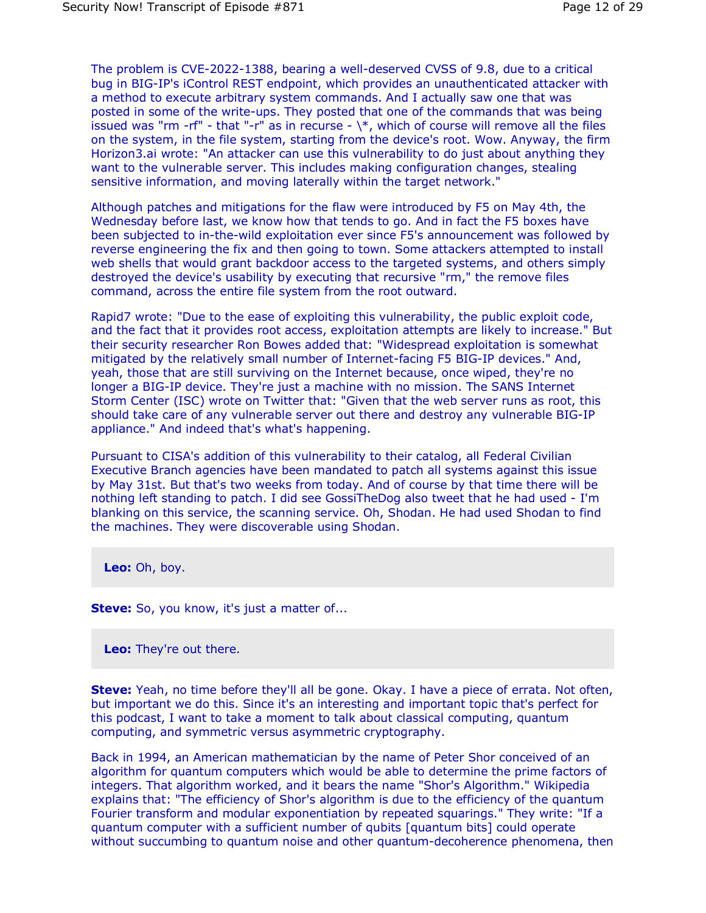The problem is CVE-2022-1388, bearing a well-deserved CVSS of 9.8, due to a critical bug in BIG-IP's iControl REST endpoint, which provides an unauthenticated attacker with a method to execute arbitrary system commands. And I actually saw one that was posted in some of the write-ups. They posted that one of the commands that was being issued was "rm -rf" - that "-r" as in recurse -  $\$ , which of course will remove all the files on the system, in the file system, starting from the device's root. Wow. Anyway, the firm Horizon3.ai wrote: "An attacker can use this vulnerability to do just about anything they want to the vulnerable server. This includes making configuration changes, stealing sensitive information, and moving laterally within the target network."

Although patches and mitigations for the flaw were introduced by F5 on May 4th, the Wednesday before last, we know how that tends to go. And in fact the F5 boxes have been subjected to in-the-wild exploitation ever since F5's announcement was followed by reverse engineering the fix and then going to town. Some attackers attempted to install web shells that would grant backdoor access to the targeted systems, and others simply destroyed the device's usability by executing that recursive "rm," the remove files command, across the entire file system from the root outward.

Rapid7 wrote: "Due to the ease of exploiting this vulnerability, the public exploit code, and the fact that it provides root access, exploitation attempts are likely to increase." But their security researcher Ron Bowes added that: "Widespread exploitation is somewhat mitigated by the relatively small number of Internet-facing F5 BIG-IP devices." And, yeah, those that are still surviving on the Internet because, once wiped, they're no longer a BIG-IP device. They're just a machine with no mission. The SANS Internet Storm Center (ISC) wrote on Twitter that: "Given that the web server runs as root, this should take care of any vulnerable server out there and destroy any vulnerable BIG-IP appliance." And indeed that's what's happening.

Pursuant to CISA's addition of this vulnerability to their catalog, all Federal Civilian Executive Branch agencies have been mandated to patch all systems against this issue by May 31st. But that's two weeks from today. And of course by that time there will be nothing left standing to patch. I did see GossiTheDog also tweet that he had used - I'm blanking on this service, the scanning service. Oh, Shodan. He had used Shodan to find the machines. They were discoverable using Shodan.

**Leo:** Oh, boy.

**Steve:** So, you know, it's just a matter of...

**Leo:** They're out there.

**Steve:** Yeah, no time before they'll all be gone. Okay. I have a piece of errata. Not often, but important we do this. Since it's an interesting and important topic that's perfect for this podcast, I want to take a moment to talk about classical computing, quantum computing, and symmetric versus asymmetric cryptography.

Back in 1994, an American mathematician by the name of Peter Shor conceived of an algorithm for quantum computers which would be able to determine the prime factors of integers. That algorithm worked, and it bears the name "Shor's Algorithm." Wikipedia explains that: "The efficiency of Shor's algorithm is due to the efficiency of the quantum Fourier transform and modular exponentiation by repeated squarings." They write: "If a quantum computer with a sufficient number of qubits [quantum bits] could operate without succumbing to quantum noise and other quantum-decoherence phenomena, then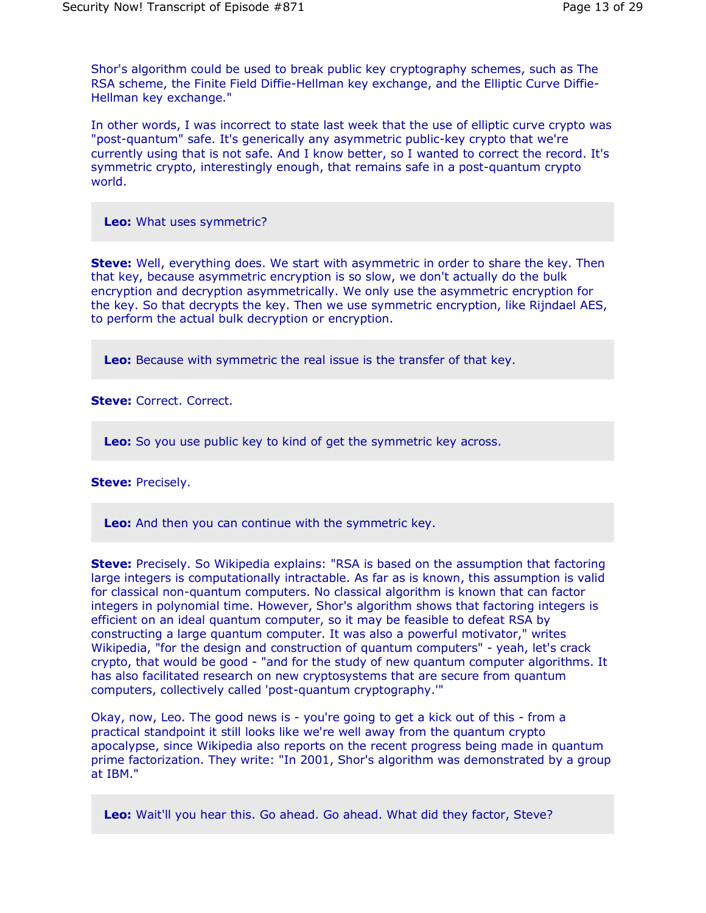Shor's algorithm could be used to break public key cryptography schemes, such as The RSA scheme, the Finite Field Diffie-Hellman key exchange, and the Elliptic Curve Diffie-Hellman key exchange."

In other words, I was incorrect to state last week that the use of elliptic curve crypto was "post-quantum" safe. It's generically any asymmetric public-key crypto that we're currently using that is not safe. And I know better, so I wanted to correct the record. It's symmetric crypto, interestingly enough, that remains safe in a post-quantum crypto world.

**Leo:** What uses symmetric?

**Steve:** Well, everything does. We start with asymmetric in order to share the key. Then that key, because asymmetric encryption is so slow, we don't actually do the bulk encryption and decryption asymmetrically. We only use the asymmetric encryption for the key. So that decrypts the key. Then we use symmetric encryption, like Rijndael AES, to perform the actual bulk decryption or encryption.

**Leo:** Because with symmetric the real issue is the transfer of that key.

**Steve:** Correct. Correct.

**Leo:** So you use public key to kind of get the symmetric key across.

**Steve:** Precisely.

**Leo:** And then you can continue with the symmetric key.

**Steve:** Precisely. So Wikipedia explains: "RSA is based on the assumption that factoring large integers is computationally intractable. As far as is known, this assumption is valid for classical non-quantum computers. No classical algorithm is known that can factor integers in polynomial time. However, Shor's algorithm shows that factoring integers is efficient on an ideal quantum computer, so it may be feasible to defeat RSA by constructing a large quantum computer. It was also a powerful motivator," writes Wikipedia, "for the design and construction of quantum computers" - yeah, let's crack crypto, that would be good - "and for the study of new quantum computer algorithms. It has also facilitated research on new cryptosystems that are secure from quantum computers, collectively called 'post-quantum cryptography.'"

Okay, now, Leo. The good news is - you're going to get a kick out of this - from a practical standpoint it still looks like we're well away from the quantum crypto apocalypse, since Wikipedia also reports on the recent progress being made in quantum prime factorization. They write: "In 2001, Shor's algorithm was demonstrated by a group at IBM."

**Leo:** Wait'll you hear this. Go ahead. Go ahead. What did they factor, Steve?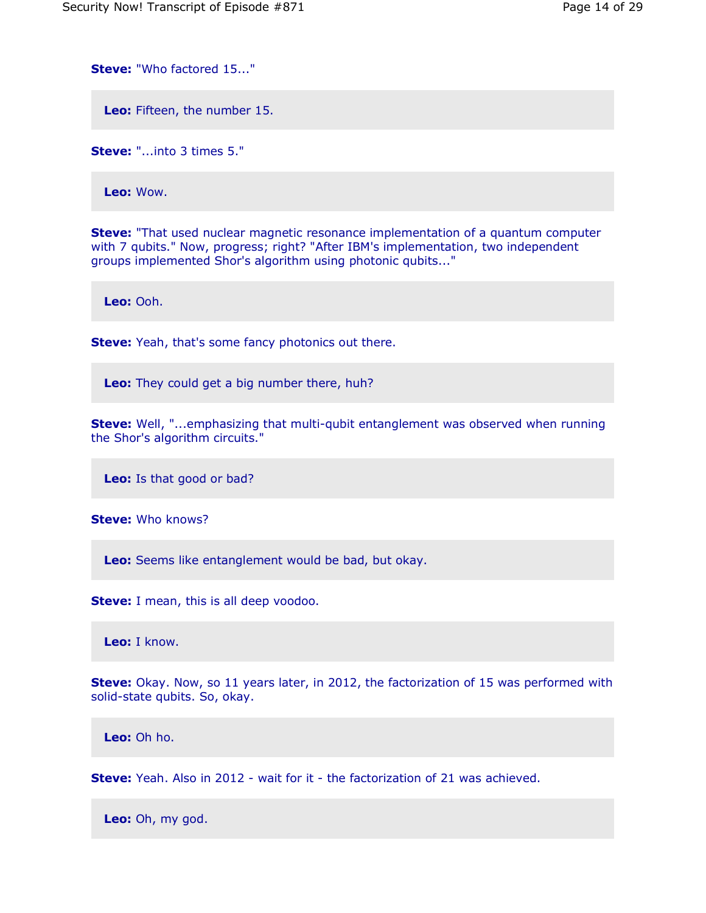**Steve:** "Who factored 15..."

**Leo:** Fifteen, the number 15.

**Steve:** "...into 3 times 5."

**Leo:** Wow.

**Steve:** "That used nuclear magnetic resonance implementation of a quantum computer with 7 qubits." Now, progress; right? "After IBM's implementation, two independent groups implemented Shor's algorithm using photonic qubits..."

**Leo:** Ooh.

**Steve:** Yeah, that's some fancy photonics out there.

**Leo:** They could get a big number there, huh?

**Steve:** Well, "...emphasizing that multi-qubit entanglement was observed when running the Shor's algorithm circuits."

**Leo:** Is that good or bad?

**Steve:** Who knows?

**Leo:** Seems like entanglement would be bad, but okay.

**Steve:** I mean, this is all deep voodoo.

**Leo:** I know.

**Steve:** Okay. Now, so 11 years later, in 2012, the factorization of 15 was performed with solid-state qubits. So, okay.

**Leo:** Oh ho.

**Steve:** Yeah. Also in 2012 - wait for it - the factorization of 21 was achieved.

**Leo:** Oh, my god.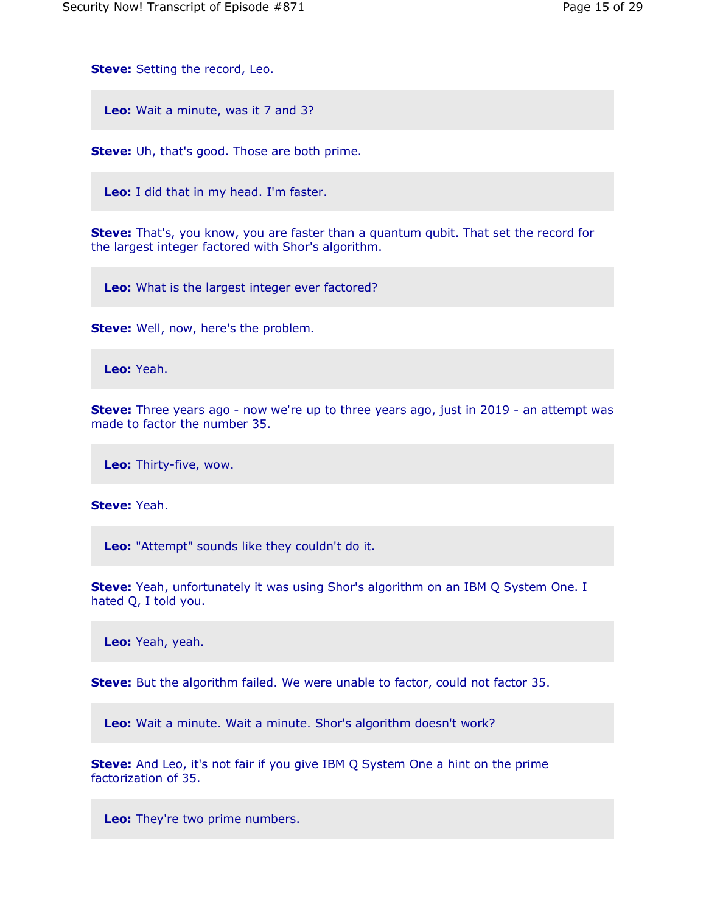**Steve:** Setting the record, Leo.

**Leo:** Wait a minute, was it 7 and 3?

**Steve:** Uh, that's good. Those are both prime.

**Leo:** I did that in my head. I'm faster.

**Steve:** That's, you know, you are faster than a quantum qubit. That set the record for the largest integer factored with Shor's algorithm.

**Leo:** What is the largest integer ever factored?

**Steve:** Well, now, here's the problem.

**Leo:** Yeah.

**Steve:** Three years ago - now we're up to three years ago, just in 2019 - an attempt was made to factor the number 35.

**Leo:** Thirty-five, wow.

**Steve:** Yeah.

**Leo:** "Attempt" sounds like they couldn't do it.

**Steve:** Yeah, unfortunately it was using Shor's algorithm on an IBM Q System One. I hated Q, I told you.

**Leo:** Yeah, yeah.

**Steve:** But the algorithm failed. We were unable to factor, could not factor 35.

**Leo:** Wait a minute. Wait a minute. Shor's algorithm doesn't work?

**Steve:** And Leo, it's not fair if you give IBM Q System One a hint on the prime factorization of 35.

**Leo:** They're two prime numbers.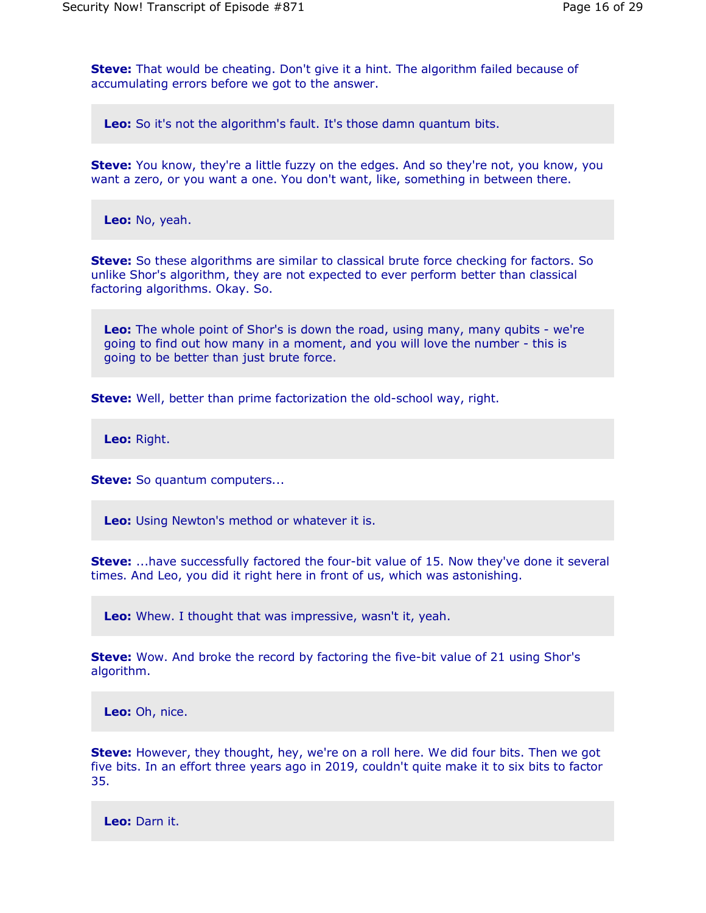**Steve:** That would be cheating. Don't give it a hint. The algorithm failed because of accumulating errors before we got to the answer.

**Leo:** So it's not the algorithm's fault. It's those damn quantum bits.

**Steve:** You know, they're a little fuzzy on the edges. And so they're not, you know, you want a zero, or you want a one. You don't want, like, something in between there.

**Leo:** No, yeah.

**Steve:** So these algorithms are similar to classical brute force checking for factors. So unlike Shor's algorithm, they are not expected to ever perform better than classical factoring algorithms. Okay. So.

**Leo:** The whole point of Shor's is down the road, using many, many qubits - we're going to find out how many in a moment, and you will love the number - this is going to be better than just brute force.

**Steve:** Well, better than prime factorization the old-school way, right.

**Leo:** Right.

**Steve:** So quantum computers...

**Leo:** Using Newton's method or whatever it is.

**Steve:** ...have successfully factored the four-bit value of 15. Now they've done it several times. And Leo, you did it right here in front of us, which was astonishing.

**Leo:** Whew. I thought that was impressive, wasn't it, yeah.

**Steve:** Wow. And broke the record by factoring the five-bit value of 21 using Shor's algorithm.

**Leo:** Oh, nice.

**Steve:** However, they thought, hey, we're on a roll here. We did four bits. Then we got five bits. In an effort three years ago in 2019, couldn't quite make it to six bits to factor 35.

**Leo:** Darn it.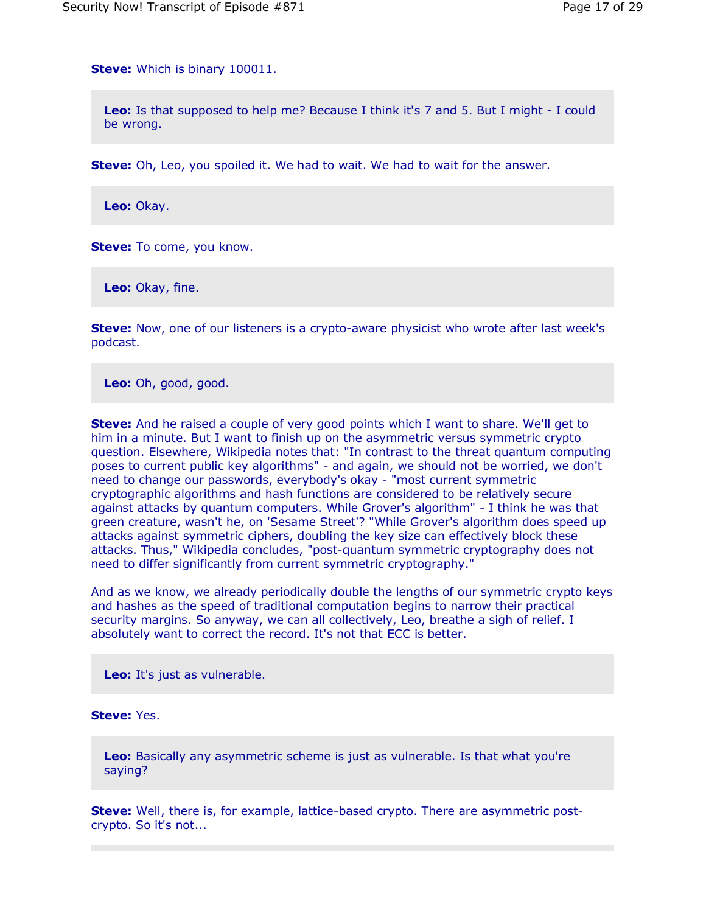**Steve:** Which is binary 100011.

**Leo:** Is that supposed to help me? Because I think it's 7 and 5. But I might - I could be wrong.

**Steve:** Oh, Leo, you spoiled it. We had to wait. We had to wait for the answer.

**Leo:** Okay.

**Steve:** To come, you know.

**Leo:** Okay, fine.

**Steve:** Now, one of our listeners is a crypto-aware physicist who wrote after last week's podcast.

**Leo:** Oh, good, good.

**Steve:** And he raised a couple of very good points which I want to share. We'll get to him in a minute. But I want to finish up on the asymmetric versus symmetric crypto question. Elsewhere, Wikipedia notes that: "In contrast to the threat quantum computing poses to current public key algorithms" - and again, we should not be worried, we don't need to change our passwords, everybody's okay - "most current symmetric cryptographic algorithms and hash functions are considered to be relatively secure against attacks by quantum computers. While Grover's algorithm" - I think he was that green creature, wasn't he, on 'Sesame Street'? "While Grover's algorithm does speed up attacks against symmetric ciphers, doubling the key size can effectively block these attacks. Thus," Wikipedia concludes, "post-quantum symmetric cryptography does not need to differ significantly from current symmetric cryptography."

And as we know, we already periodically double the lengths of our symmetric crypto keys and hashes as the speed of traditional computation begins to narrow their practical security margins. So anyway, we can all collectively, Leo, breathe a sigh of relief. I absolutely want to correct the record. It's not that ECC is better.

**Leo:** It's just as vulnerable.

### **Steve:** Yes.

**Leo:** Basically any asymmetric scheme is just as vulnerable. Is that what you're saying?

**Steve:** Well, there is, for example, lattice-based crypto. There are asymmetric postcrypto. So it's not...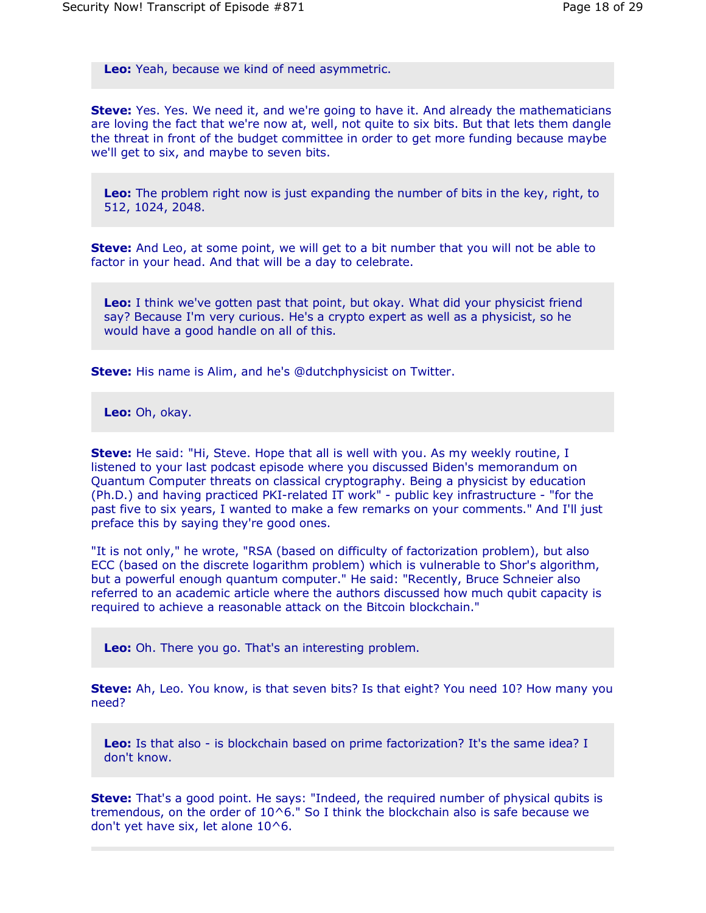**Leo:** Yeah, because we kind of need asymmetric.

**Steve:** Yes. Yes. We need it, and we're going to have it. And already the mathematicians are loving the fact that we're now at, well, not quite to six bits. But that lets them dangle the threat in front of the budget committee in order to get more funding because maybe we'll get to six, and maybe to seven bits.

**Leo:** The problem right now is just expanding the number of bits in the key, right, to 512, 1024, 2048.

**Steve:** And Leo, at some point, we will get to a bit number that you will not be able to factor in your head. And that will be a day to celebrate.

**Leo:** I think we've gotten past that point, but okay. What did your physicist friend say? Because I'm very curious. He's a crypto expert as well as a physicist, so he would have a good handle on all of this.

**Steve:** His name is Alim, and he's @dutchphysicist on Twitter.

**Leo:** Oh, okay.

**Steve:** He said: "Hi, Steve. Hope that all is well with you. As my weekly routine, I listened to your last podcast episode where you discussed Biden's memorandum on Quantum Computer threats on classical cryptography. Being a physicist by education (Ph.D.) and having practiced PKI-related IT work" - public key infrastructure - "for the past five to six years, I wanted to make a few remarks on your comments." And I'll just preface this by saying they're good ones.

"It is not only," he wrote, "RSA (based on difficulty of factorization problem), but also ECC (based on the discrete logarithm problem) which is vulnerable to Shor's algorithm, but a powerful enough quantum computer." He said: "Recently, Bruce Schneier also referred to an academic article where the authors discussed how much qubit capacity is required to achieve a reasonable attack on the Bitcoin blockchain."

**Leo:** Oh. There you go. That's an interesting problem.

**Steve:** Ah, Leo. You know, is that seven bits? Is that eight? You need 10? How many you need?

**Leo:** Is that also - is blockchain based on prime factorization? It's the same idea? I don't know.

**Steve:** That's a good point. He says: "Indeed, the required number of physical qubits is tremendous, on the order of 10^6." So I think the blockchain also is safe because we don't yet have six, let alone 10^6.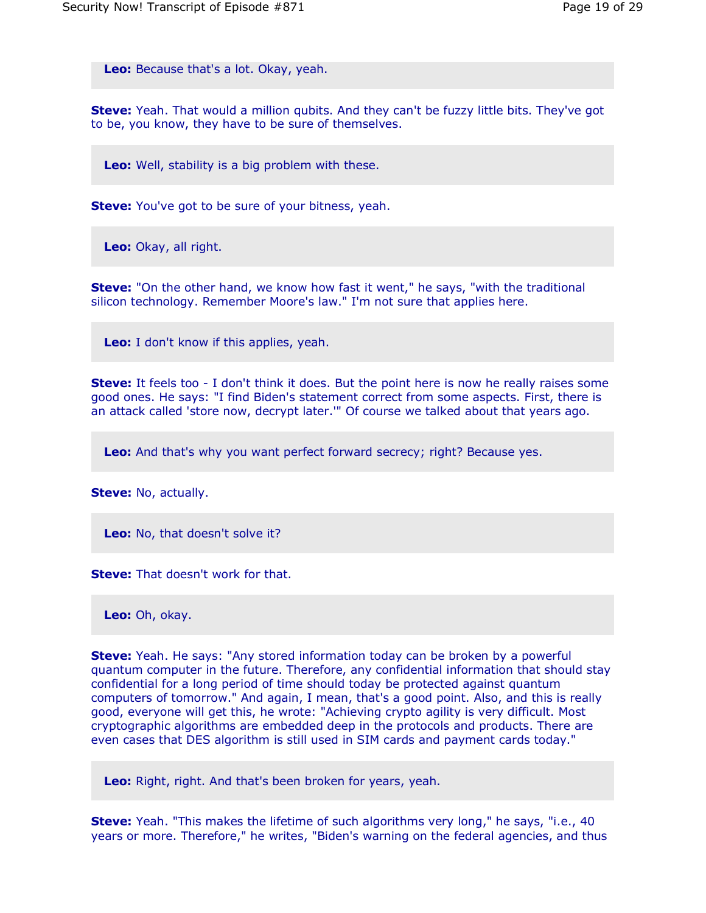**Leo:** Because that's a lot. Okay, yeah.

**Steve:** Yeah. That would a million qubits. And they can't be fuzzy little bits. They've got to be, you know, they have to be sure of themselves.

**Leo:** Well, stability is a big problem with these.

**Steve:** You've got to be sure of your bitness, yeah.

**Leo:** Okay, all right.

**Steve:** "On the other hand, we know how fast it went," he says, "with the traditional silicon technology. Remember Moore's law." I'm not sure that applies here.

**Leo:** I don't know if this applies, yeah.

**Steve:** It feels too - I don't think it does. But the point here is now he really raises some good ones. He says: "I find Biden's statement correct from some aspects. First, there is an attack called 'store now, decrypt later.'" Of course we talked about that years ago.

**Leo:** And that's why you want perfect forward secrecy; right? Because yes.

**Steve:** No, actually.

**Leo:** No, that doesn't solve it?

**Steve:** That doesn't work for that.

**Leo:** Oh, okay.

**Steve:** Yeah. He says: "Any stored information today can be broken by a powerful quantum computer in the future. Therefore, any confidential information that should stay confidential for a long period of time should today be protected against quantum computers of tomorrow." And again, I mean, that's a good point. Also, and this is really good, everyone will get this, he wrote: "Achieving crypto agility is very difficult. Most cryptographic algorithms are embedded deep in the protocols and products. There are even cases that DES algorithm is still used in SIM cards and payment cards today."

**Leo:** Right, right. And that's been broken for years, yeah.

**Steve:** Yeah. "This makes the lifetime of such algorithms very long," he says, "i.e., 40 years or more. Therefore," he writes, "Biden's warning on the federal agencies, and thus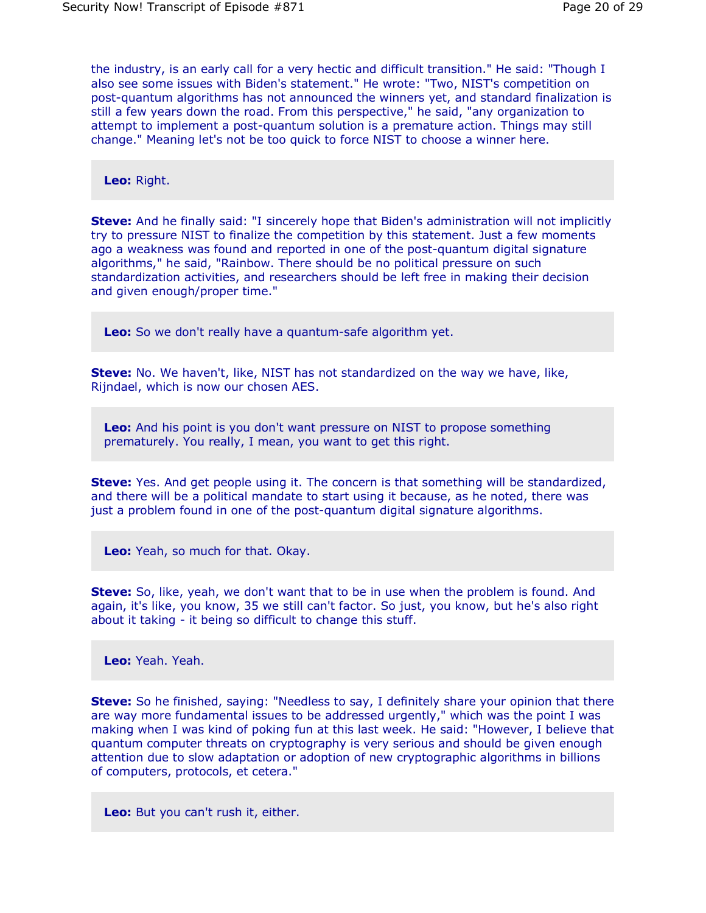the industry, is an early call for a very hectic and difficult transition." He said: "Though I also see some issues with Biden's statement." He wrote: "Two, NIST's competition on post-quantum algorithms has not announced the winners yet, and standard finalization is still a few years down the road. From this perspective," he said, "any organization to attempt to implement a post-quantum solution is a premature action. Things may still change." Meaning let's not be too quick to force NIST to choose a winner here.

**Leo:** Right.

**Steve:** And he finally said: "I sincerely hope that Biden's administration will not implicitly try to pressure NIST to finalize the competition by this statement. Just a few moments ago a weakness was found and reported in one of the post-quantum digital signature algorithms," he said, "Rainbow. There should be no political pressure on such standardization activities, and researchers should be left free in making their decision and given enough/proper time."

**Leo:** So we don't really have a quantum-safe algorithm yet.

**Steve:** No. We haven't, like, NIST has not standardized on the way we have, like, Rijndael, which is now our chosen AES.

**Leo:** And his point is you don't want pressure on NIST to propose something prematurely. You really, I mean, you want to get this right.

**Steve:** Yes. And get people using it. The concern is that something will be standardized, and there will be a political mandate to start using it because, as he noted, there was just a problem found in one of the post-quantum digital signature algorithms.

**Leo:** Yeah, so much for that. Okay.

**Steve:** So, like, yeah, we don't want that to be in use when the problem is found. And again, it's like, you know, 35 we still can't factor. So just, you know, but he's also right about it taking - it being so difficult to change this stuff.

**Leo:** Yeah. Yeah.

**Steve:** So he finished, saying: "Needless to say, I definitely share your opinion that there are way more fundamental issues to be addressed urgently," which was the point I was making when I was kind of poking fun at this last week. He said: "However, I believe that quantum computer threats on cryptography is very serious and should be given enough attention due to slow adaptation or adoption of new cryptographic algorithms in billions of computers, protocols, et cetera."

**Leo:** But you can't rush it, either.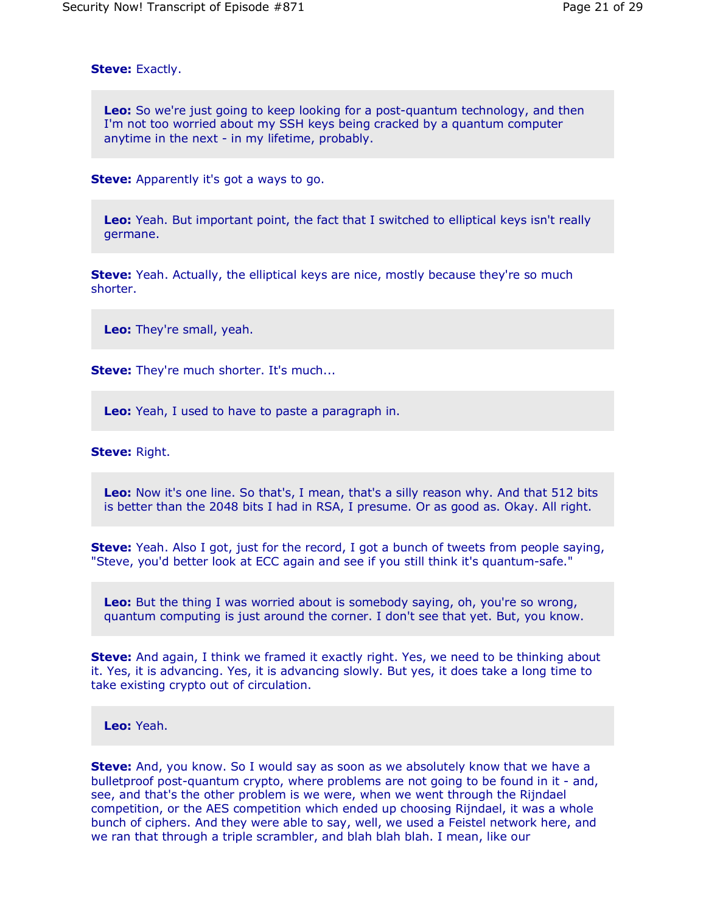**Steve:** Exactly.

**Leo:** So we're just going to keep looking for a post-quantum technology, and then I'm not too worried about my SSH keys being cracked by a quantum computer anytime in the next - in my lifetime, probably.

**Steve:** Apparently it's got a ways to go.

**Leo:** Yeah. But important point, the fact that I switched to elliptical keys isn't really germane.

**Steve:** Yeah. Actually, the elliptical keys are nice, mostly because they're so much shorter.

**Leo:** They're small, yeah.

**Steve:** They're much shorter. It's much...

**Leo:** Yeah, I used to have to paste a paragraph in.

**Steve:** Right.

**Leo:** Now it's one line. So that's, I mean, that's a silly reason why. And that 512 bits is better than the 2048 bits I had in RSA, I presume. Or as good as. Okay. All right.

**Steve:** Yeah. Also I got, just for the record, I got a bunch of tweets from people saying, "Steve, you'd better look at ECC again and see if you still think it's quantum-safe."

**Leo:** But the thing I was worried about is somebody saying, oh, you're so wrong, quantum computing is just around the corner. I don't see that yet. But, you know.

**Steve:** And again, I think we framed it exactly right. Yes, we need to be thinking about it. Yes, it is advancing. Yes, it is advancing slowly. But yes, it does take a long time to take existing crypto out of circulation.

**Leo:** Yeah.

**Steve:** And, you know. So I would say as soon as we absolutely know that we have a bulletproof post-quantum crypto, where problems are not going to be found in it - and, see, and that's the other problem is we were, when we went through the Rijndael competition, or the AES competition which ended up choosing Rijndael, it was a whole bunch of ciphers. And they were able to say, well, we used a Feistel network here, and we ran that through a triple scrambler, and blah blah blah. I mean, like our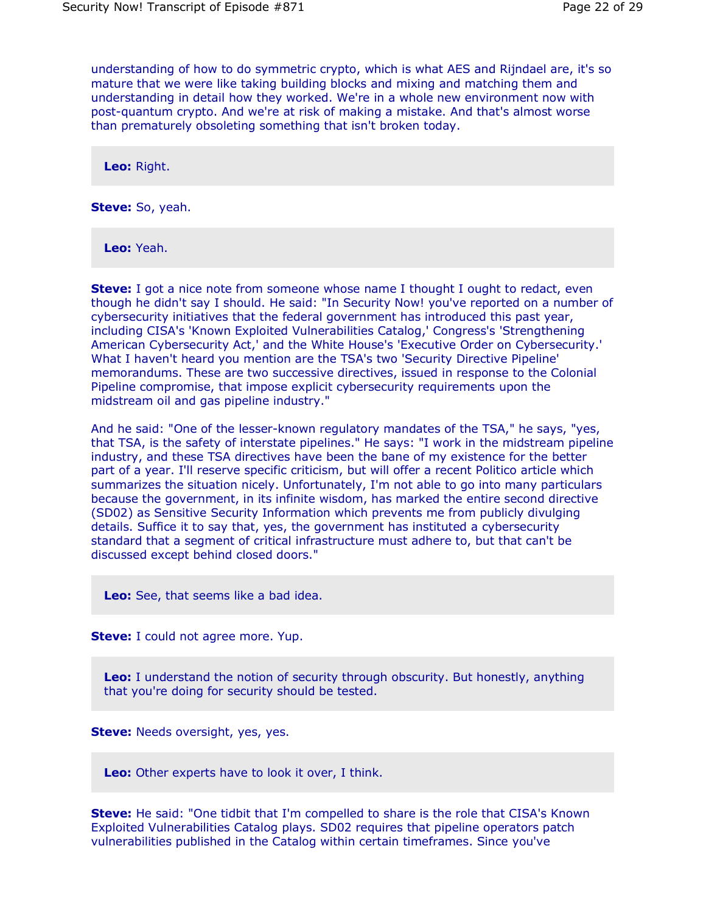understanding of how to do symmetric crypto, which is what AES and Rijndael are, it's so mature that we were like taking building blocks and mixing and matching them and understanding in detail how they worked. We're in a whole new environment now with post-quantum crypto. And we're at risk of making a mistake. And that's almost worse than prematurely obsoleting something that isn't broken today.

**Leo:** Right.

**Steve:** So, yeah.

**Leo:** Yeah.

**Steve:** I got a nice note from someone whose name I thought I ought to redact, even though he didn't say I should. He said: "In Security Now! you've reported on a number of cybersecurity initiatives that the federal government has introduced this past year, including CISA's 'Known Exploited Vulnerabilities Catalog,' Congress's 'Strengthening American Cybersecurity Act,' and the White House's 'Executive Order on Cybersecurity.' What I haven't heard you mention are the TSA's two 'Security Directive Pipeline' memorandums. These are two successive directives, issued in response to the Colonial Pipeline compromise, that impose explicit cybersecurity requirements upon the midstream oil and gas pipeline industry."

And he said: "One of the lesser-known regulatory mandates of the TSA," he says, "yes, that TSA, is the safety of interstate pipelines." He says: "I work in the midstream pipeline industry, and these TSA directives have been the bane of my existence for the better part of a year. I'll reserve specific criticism, but will offer a recent Politico article which summarizes the situation nicely. Unfortunately, I'm not able to go into many particulars because the government, in its infinite wisdom, has marked the entire second directive (SD02) as Sensitive Security Information which prevents me from publicly divulging details. Suffice it to say that, yes, the government has instituted a cybersecurity standard that a segment of critical infrastructure must adhere to, but that can't be discussed except behind closed doors."

**Leo:** See, that seems like a bad idea.

**Steve:** I could not agree more. Yup.

**Leo:** I understand the notion of security through obscurity. But honestly, anything that you're doing for security should be tested.

**Steve:** Needs oversight, yes, yes.

**Leo:** Other experts have to look it over, I think.

**Steve:** He said: "One tidbit that I'm compelled to share is the role that CISA's Known Exploited Vulnerabilities Catalog plays. SD02 requires that pipeline operators patch vulnerabilities published in the Catalog within certain timeframes. Since you've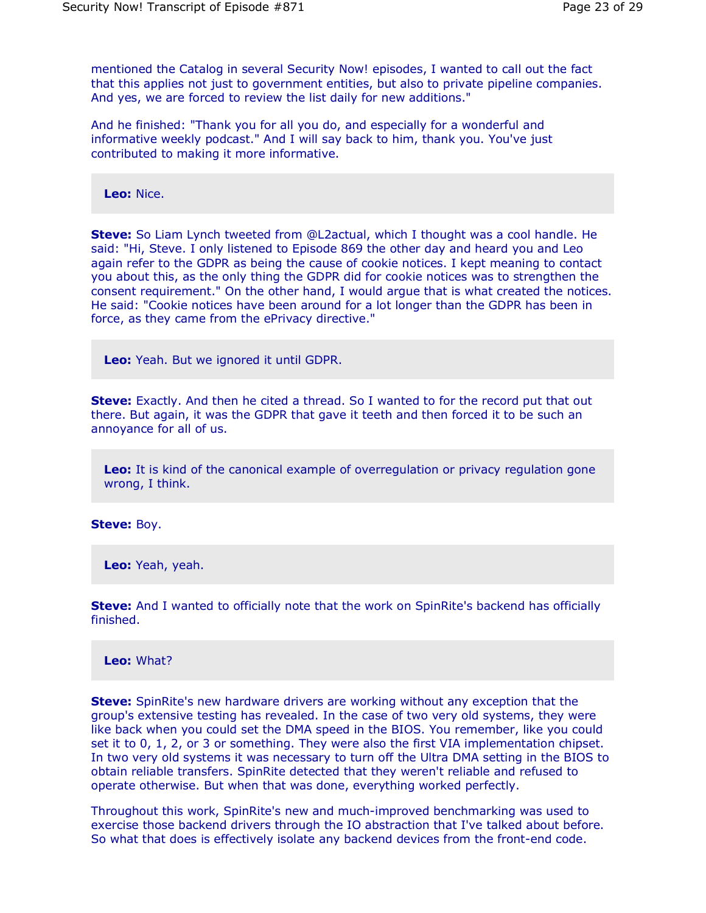mentioned the Catalog in several Security Now! episodes, I wanted to call out the fact that this applies not just to government entities, but also to private pipeline companies. And yes, we are forced to review the list daily for new additions."

And he finished: "Thank you for all you do, and especially for a wonderful and informative weekly podcast." And I will say back to him, thank you. You've just contributed to making it more informative.

**Leo:** Nice.

**Steve:** So Liam Lynch tweeted from @L2actual, which I thought was a cool handle. He said: "Hi, Steve. I only listened to Episode 869 the other day and heard you and Leo again refer to the GDPR as being the cause of cookie notices. I kept meaning to contact you about this, as the only thing the GDPR did for cookie notices was to strengthen the consent requirement." On the other hand, I would argue that is what created the notices. He said: "Cookie notices have been around for a lot longer than the GDPR has been in force, as they came from the ePrivacy directive."

**Leo:** Yeah. But we ignored it until GDPR.

**Steve:** Exactly. And then he cited a thread. So I wanted to for the record put that out there. But again, it was the GDPR that gave it teeth and then forced it to be such an annoyance for all of us.

**Leo:** It is kind of the canonical example of overregulation or privacy regulation gone wrong, I think.

**Steve:** Boy.

**Leo:** Yeah, yeah.

**Steve:** And I wanted to officially note that the work on SpinRite's backend has officially finished.

**Leo:** What?

**Steve:** SpinRite's new hardware drivers are working without any exception that the group's extensive testing has revealed. In the case of two very old systems, they were like back when you could set the DMA speed in the BIOS. You remember, like you could set it to 0, 1, 2, or 3 or something. They were also the first VIA implementation chipset. In two very old systems it was necessary to turn off the Ultra DMA setting in the BIOS to obtain reliable transfers. SpinRite detected that they weren't reliable and refused to operate otherwise. But when that was done, everything worked perfectly.

Throughout this work, SpinRite's new and much-improved benchmarking was used to exercise those backend drivers through the IO abstraction that I've talked about before. So what that does is effectively isolate any backend devices from the front-end code.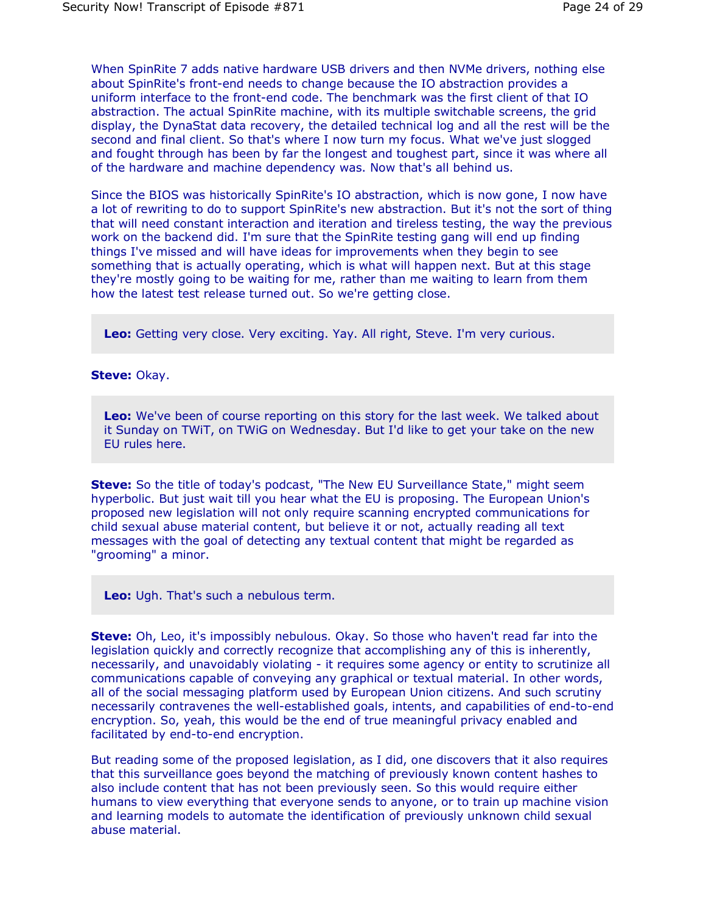When SpinRite 7 adds native hardware USB drivers and then NVMe drivers, nothing else about SpinRite's front-end needs to change because the IO abstraction provides a uniform interface to the front-end code. The benchmark was the first client of that IO abstraction. The actual SpinRite machine, with its multiple switchable screens, the grid display, the DynaStat data recovery, the detailed technical log and all the rest will be the second and final client. So that's where I now turn my focus. What we've just slogged and fought through has been by far the longest and toughest part, since it was where all of the hardware and machine dependency was. Now that's all behind us.

Since the BIOS was historically SpinRite's IO abstraction, which is now gone, I now have a lot of rewriting to do to support SpinRite's new abstraction. But it's not the sort of thing that will need constant interaction and iteration and tireless testing, the way the previous work on the backend did. I'm sure that the SpinRite testing gang will end up finding things I've missed and will have ideas for improvements when they begin to see something that is actually operating, which is what will happen next. But at this stage they're mostly going to be waiting for me, rather than me waiting to learn from them how the latest test release turned out. So we're getting close.

**Leo:** Getting very close. Very exciting. Yay. All right, Steve. I'm very curious.

#### **Steve:** Okay.

**Leo:** We've been of course reporting on this story for the last week. We talked about it Sunday on TWiT, on TWiG on Wednesday. But I'd like to get your take on the new EU rules here.

**Steve:** So the title of today's podcast, "The New EU Surveillance State," might seem hyperbolic. But just wait till you hear what the EU is proposing. The European Union's proposed new legislation will not only require scanning encrypted communications for child sexual abuse material content, but believe it or not, actually reading all text messages with the goal of detecting any textual content that might be regarded as "grooming" a minor.

**Leo:** Ugh. That's such a nebulous term.

**Steve:** Oh, Leo, it's impossibly nebulous. Okay. So those who haven't read far into the legislation quickly and correctly recognize that accomplishing any of this is inherently, necessarily, and unavoidably violating - it requires some agency or entity to scrutinize all communications capable of conveying any graphical or textual material. In other words, all of the social messaging platform used by European Union citizens. And such scrutiny necessarily contravenes the well-established goals, intents, and capabilities of end-to-end encryption. So, yeah, this would be the end of true meaningful privacy enabled and facilitated by end-to-end encryption.

But reading some of the proposed legislation, as I did, one discovers that it also requires that this surveillance goes beyond the matching of previously known content hashes to also include content that has not been previously seen. So this would require either humans to view everything that everyone sends to anyone, or to train up machine vision and learning models to automate the identification of previously unknown child sexual abuse material.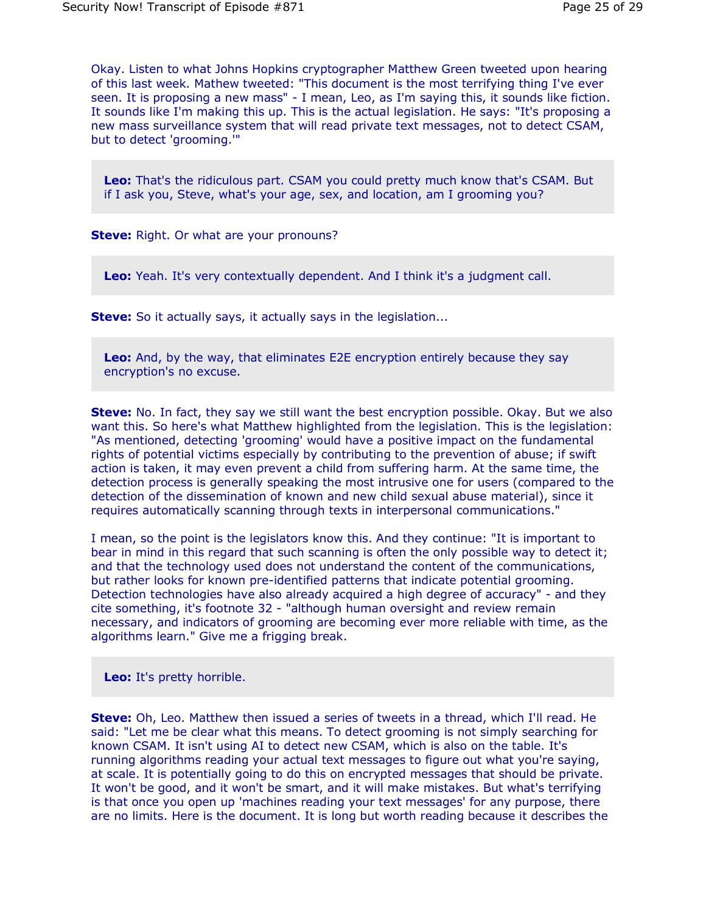Okay. Listen to what Johns Hopkins cryptographer Matthew Green tweeted upon hearing of this last week. Mathew tweeted: "This document is the most terrifying thing I've ever seen. It is proposing a new mass" - I mean, Leo, as I'm saying this, it sounds like fiction. It sounds like I'm making this up. This is the actual legislation. He says: "It's proposing a new mass surveillance system that will read private text messages, not to detect CSAM, but to detect 'grooming.'"

**Leo:** That's the ridiculous part. CSAM you could pretty much know that's CSAM. But if I ask you, Steve, what's your age, sex, and location, am I grooming you?

**Steve:** Right. Or what are your pronouns?

**Leo:** Yeah. It's very contextually dependent. And I think it's a judgment call.

**Steve:** So it actually says, it actually says in the legislation...

**Leo:** And, by the way, that eliminates E2E encryption entirely because they say encryption's no excuse.

**Steve:** No. In fact, they say we still want the best encryption possible. Okay. But we also want this. So here's what Matthew highlighted from the legislation. This is the legislation: "As mentioned, detecting 'grooming' would have a positive impact on the fundamental rights of potential victims especially by contributing to the prevention of abuse; if swift action is taken, it may even prevent a child from suffering harm. At the same time, the detection process is generally speaking the most intrusive one for users (compared to the detection of the dissemination of known and new child sexual abuse material), since it requires automatically scanning through texts in interpersonal communications."

I mean, so the point is the legislators know this. And they continue: "It is important to bear in mind in this regard that such scanning is often the only possible way to detect it; and that the technology used does not understand the content of the communications, but rather looks for known pre-identified patterns that indicate potential grooming. Detection technologies have also already acquired a high degree of accuracy" - and they cite something, it's footnote 32 - "although human oversight and review remain necessary, and indicators of grooming are becoming ever more reliable with time, as the algorithms learn." Give me a frigging break.

**Leo:** It's pretty horrible.

**Steve:** Oh, Leo. Matthew then issued a series of tweets in a thread, which I'll read. He said: "Let me be clear what this means. To detect grooming is not simply searching for known CSAM. It isn't using AI to detect new CSAM, which is also on the table. It's running algorithms reading your actual text messages to figure out what you're saying, at scale. It is potentially going to do this on encrypted messages that should be private. It won't be good, and it won't be smart, and it will make mistakes. But what's terrifying is that once you open up 'machines reading your text messages' for any purpose, there are no limits. Here is the document. It is long but worth reading because it describes the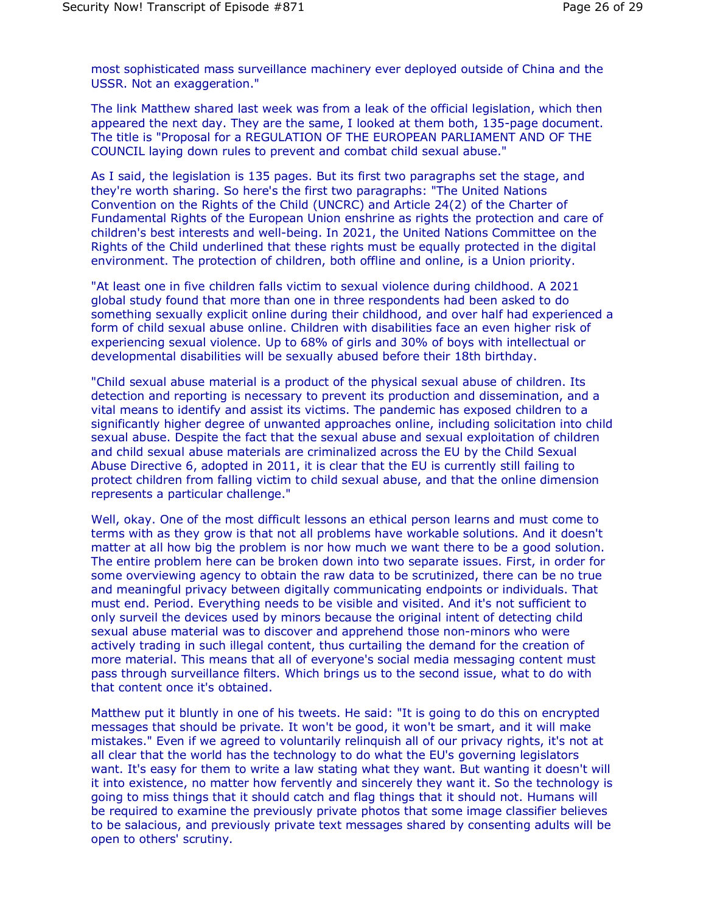most sophisticated mass surveillance machinery ever deployed outside of China and the USSR. Not an exaggeration."

The link Matthew shared last week was from a leak of the official legislation, which then appeared the next day. They are the same, I looked at them both, 135-page document. The title is "Proposal for a REGULATION OF THE EUROPEAN PARLIAMENT AND OF THE COUNCIL laying down rules to prevent and combat child sexual abuse."

As I said, the legislation is 135 pages. But its first two paragraphs set the stage, and they're worth sharing. So here's the first two paragraphs: "The United Nations Convention on the Rights of the Child (UNCRC) and Article 24(2) of the Charter of Fundamental Rights of the European Union enshrine as rights the protection and care of children's best interests and well-being. In 2021, the United Nations Committee on the Rights of the Child underlined that these rights must be equally protected in the digital environment. The protection of children, both offline and online, is a Union priority.

"At least one in five children falls victim to sexual violence during childhood. A 2021 global study found that more than one in three respondents had been asked to do something sexually explicit online during their childhood, and over half had experienced a form of child sexual abuse online. Children with disabilities face an even higher risk of experiencing sexual violence. Up to 68% of girls and 30% of boys with intellectual or developmental disabilities will be sexually abused before their 18th birthday.

"Child sexual abuse material is a product of the physical sexual abuse of children. Its detection and reporting is necessary to prevent its production and dissemination, and a vital means to identify and assist its victims. The pandemic has exposed children to a significantly higher degree of unwanted approaches online, including solicitation into child sexual abuse. Despite the fact that the sexual abuse and sexual exploitation of children and child sexual abuse materials are criminalized across the EU by the Child Sexual Abuse Directive 6, adopted in 2011, it is clear that the EU is currently still failing to protect children from falling victim to child sexual abuse, and that the online dimension represents a particular challenge."

Well, okay. One of the most difficult lessons an ethical person learns and must come to terms with as they grow is that not all problems have workable solutions. And it doesn't matter at all how big the problem is nor how much we want there to be a good solution. The entire problem here can be broken down into two separate issues. First, in order for some overviewing agency to obtain the raw data to be scrutinized, there can be no true and meaningful privacy between digitally communicating endpoints or individuals. That must end. Period. Everything needs to be visible and visited. And it's not sufficient to only surveil the devices used by minors because the original intent of detecting child sexual abuse material was to discover and apprehend those non-minors who were actively trading in such illegal content, thus curtailing the demand for the creation of more material. This means that all of everyone's social media messaging content must pass through surveillance filters. Which brings us to the second issue, what to do with that content once it's obtained.

Matthew put it bluntly in one of his tweets. He said: "It is going to do this on encrypted messages that should be private. It won't be good, it won't be smart, and it will make mistakes." Even if we agreed to voluntarily relinquish all of our privacy rights, it's not at all clear that the world has the technology to do what the EU's governing legislators want. It's easy for them to write a law stating what they want. But wanting it doesn't will it into existence, no matter how fervently and sincerely they want it. So the technology is going to miss things that it should catch and flag things that it should not. Humans will be required to examine the previously private photos that some image classifier believes to be salacious, and previously private text messages shared by consenting adults will be open to others' scrutiny.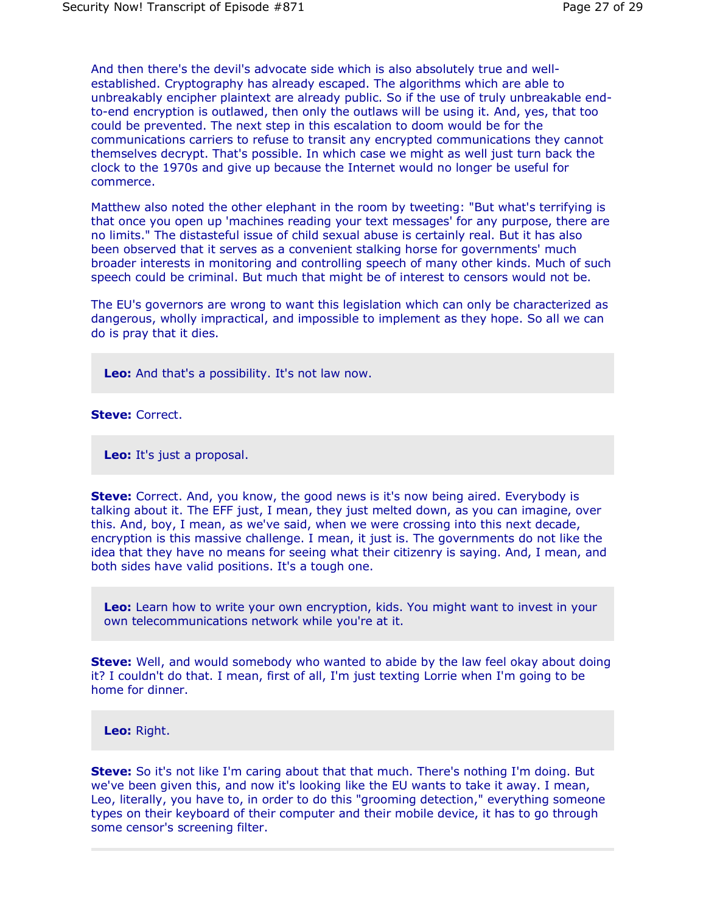And then there's the devil's advocate side which is also absolutely true and wellestablished. Cryptography has already escaped. The algorithms which are able to unbreakably encipher plaintext are already public. So if the use of truly unbreakable endto-end encryption is outlawed, then only the outlaws will be using it. And, yes, that too could be prevented. The next step in this escalation to doom would be for the communications carriers to refuse to transit any encrypted communications they cannot themselves decrypt. That's possible. In which case we might as well just turn back the clock to the 1970s and give up because the Internet would no longer be useful for commerce.

Matthew also noted the other elephant in the room by tweeting: "But what's terrifying is that once you open up 'machines reading your text messages' for any purpose, there are no limits." The distasteful issue of child sexual abuse is certainly real. But it has also been observed that it serves as a convenient stalking horse for governments' much broader interests in monitoring and controlling speech of many other kinds. Much of such speech could be criminal. But much that might be of interest to censors would not be.

The EU's governors are wrong to want this legislation which can only be characterized as dangerous, wholly impractical, and impossible to implement as they hope. So all we can do is pray that it dies.

**Leo:** And that's a possibility. It's not law now.

#### **Steve:** Correct.

**Leo:** It's just a proposal.

**Steve:** Correct. And, you know, the good news is it's now being aired. Everybody is talking about it. The EFF just, I mean, they just melted down, as you can imagine, over this. And, boy, I mean, as we've said, when we were crossing into this next decade, encryption is this massive challenge. I mean, it just is. The governments do not like the idea that they have no means for seeing what their citizenry is saying. And, I mean, and both sides have valid positions. It's a tough one.

**Leo:** Learn how to write your own encryption, kids. You might want to invest in your own telecommunications network while you're at it.

**Steve:** Well, and would somebody who wanted to abide by the law feel okay about doing it? I couldn't do that. I mean, first of all, I'm just texting Lorrie when I'm going to be home for dinner.

**Leo:** Right.

**Steve:** So it's not like I'm caring about that that much. There's nothing I'm doing. But we've been given this, and now it's looking like the EU wants to take it away. I mean, Leo, literally, you have to, in order to do this "grooming detection," everything someone types on their keyboard of their computer and their mobile device, it has to go through some censor's screening filter.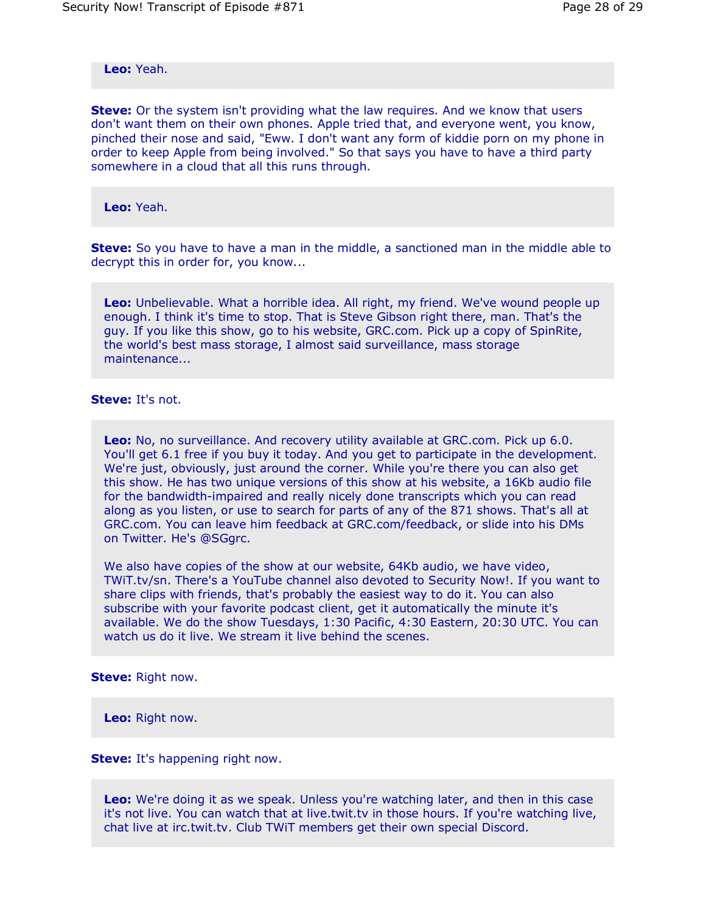**Leo:** Yeah.

**Steve:** Or the system isn't providing what the law requires. And we know that users don't want them on their own phones. Apple tried that, and everyone went, you know, pinched their nose and said, "Eww. I don't want any form of kiddie porn on my phone in order to keep Apple from being involved." So that says you have to have a third party somewhere in a cloud that all this runs through.

**Leo:** Yeah.

**Steve:** So you have to have a man in the middle, a sanctioned man in the middle able to decrypt this in order for, you know...

**Leo:** Unbelievable. What a horrible idea. All right, my friend. We've wound people up enough. I think it's time to stop. That is Steve Gibson right there, man. That's the guy. If you like this show, go to his website, GRC.com. Pick up a copy of SpinRite, the world's best mass storage, I almost said surveillance, mass storage maintenance...

## **Steve:** It's not.

**Leo:** No, no surveillance. And recovery utility available at GRC.com. Pick up 6.0. You'll get 6.1 free if you buy it today. And you get to participate in the development. We're just, obviously, just around the corner. While you're there you can also get this show. He has two unique versions of this show at his website, a 16Kb audio file for the bandwidth-impaired and really nicely done transcripts which you can read along as you listen, or use to search for parts of any of the 871 shows. That's all at GRC.com. You can leave him feedback at GRC.com/feedback, or slide into his DMs on Twitter. He's @SGgrc.

We also have copies of the show at our website, 64Kb audio, we have video, TWiT.tv/sn. There's a YouTube channel also devoted to Security Now!. If you want to share clips with friends, that's probably the easiest way to do it. You can also subscribe with your favorite podcast client, get it automatically the minute it's available. We do the show Tuesdays, 1:30 Pacific, 4:30 Eastern, 20:30 UTC. You can watch us do it live. We stream it live behind the scenes.

**Steve:** Right now.

**Leo:** Right now.

**Steve:** It's happening right now.

**Leo:** We're doing it as we speak. Unless you're watching later, and then in this case it's not live. You can watch that at live.twit.tv in those hours. If you're watching live, chat live at irc.twit.tv. Club TWiT members get their own special Discord.